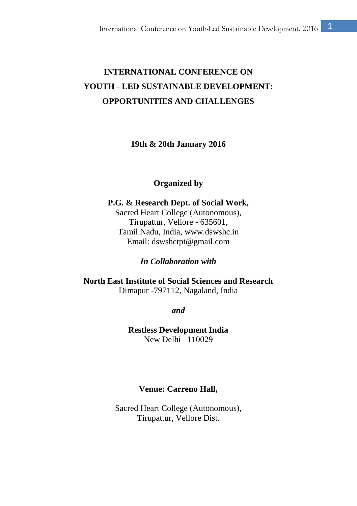# **INTERNATIONAL CONFERENCE ON YOUTH - LED SUSTAINABLE DEVELOPMENT: OPPORTUNITIES AND CHALLENGES**

**19th & 20th January 2016**

#### **Organized by**

**P.G. & Research Dept. of Social Work,** Sacred Heart College (Autonomous), Tirupattur, Vellore - 635601, Tamil Nadu, India, www.dswshc.in Email: dswshctpt@gmail.com

*In Collaboration with*

**North East Institute of Social Sciences and Research** Dimapur -797112, Nagaland, India

*and*

**Restless Development India** New Delhi– 110029

#### **Venue: Carreno Hall,**

Sacred Heart College (Autonomous), Tirupattur, Vellore Dist.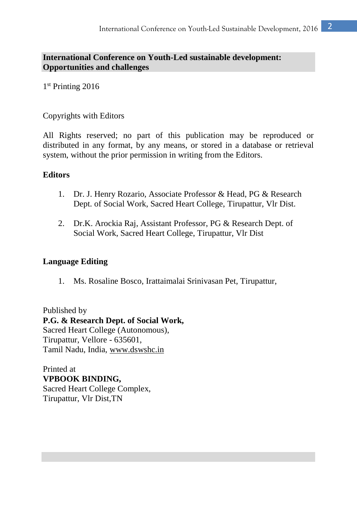# **International Conference on Youth-Led sustainable development: Opportunities and challenges**

1 st Printing 2016

# Copyrights with Editors

All Rights reserved; no part of this publication may be reproduced or distributed in any format, by any means, or stored in a database or retrieval system, without the prior permission in writing from the Editors.

# **Editors**

- 1. Dr. J. Henry Rozario, Associate Professor & Head, PG & Research Dept. of Social Work, Sacred Heart College, Tirupattur, Vlr Dist.
- 2. Dr.K. Arockia Raj, Assistant Professor, PG & Research Dept. of Social Work, Sacred Heart College, Tirupattur, Vlr Dist

# **Language Editing**

1. Ms. Rosaline Bosco, Irattaimalai Srinivasan Pet, Tirupattur,

Published by **P.G. & Research Dept. of Social Work,** Sacred Heart College (Autonomous), Tirupattur, Vellore - 635601, Tamil Nadu, India, [www.dswshc.in](http://www.dswshc.in/)

Printed at **VPBOOK BINDING,**  Sacred Heart College Complex, Tirupattur, Vlr Dist,TN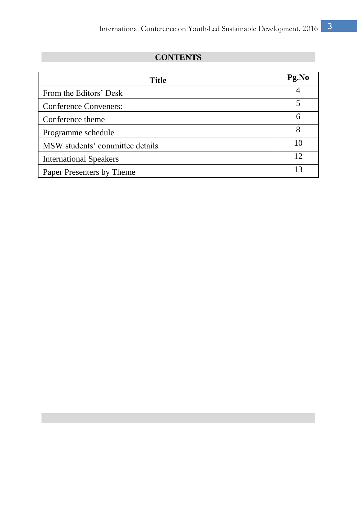# **CONTENTS**

| Title                           | Pg.No |
|---------------------------------|-------|
| From the Editors' Desk          |       |
| Conference Conveners:           |       |
| Conference theme                | 6     |
| Programme schedule              | 8     |
| MSW students' committee details | 10    |
| <b>International Speakers</b>   | 12    |
| Paper Presenters by Theme       | 13    |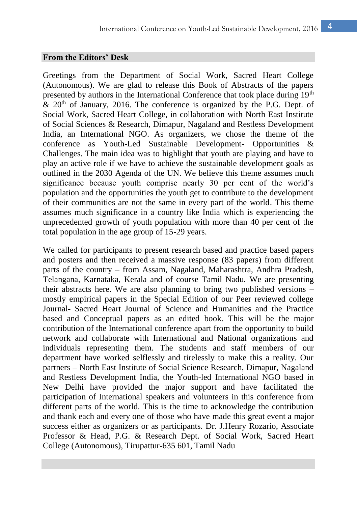#### **From the Editors' Desk**

Greetings from the Department of Social Work, Sacred Heart College (Autonomous). We are glad to release this Book of Abstracts of the papers presented by authors in the International Conference that took place during  $19<sup>th</sup>$  $\&$  20<sup>th</sup> of January, 2016. The conference is organized by the P.G. Dept. of Social Work, Sacred Heart College, in collaboration with North East Institute of Social Sciences & Research, Dimapur, Nagaland and Restless Development India, an International NGO. As organizers, we chose the theme of the conference as Youth-Led Sustainable Development- Opportunities & Challenges. The main idea was to highlight that youth are playing and have to play an active role if we have to achieve the sustainable development goals as outlined in the 2030 Agenda of the UN. We believe this theme assumes much significance because youth comprise nearly 30 per cent of the world's population and the opportunities the youth get to contribute to the development of their communities are not the same in every part of the world. This theme assumes much significance in a country like India which is experiencing the unprecedented growth of youth population with more than 40 per cent of the total population in the age group of 15-29 years.

We called for participants to present research based and practice based papers and posters and then received a massive response (83 papers) from different parts of the country – from Assam, Nagaland, Maharashtra, Andhra Pradesh, Telangana, Karnataka, Kerala and of course Tamil Nadu. We are presenting their abstracts here. We are also planning to bring two published versions – mostly empirical papers in the Special Edition of our Peer reviewed college Journal- Sacred Heart Journal of Science and Humanities and the Practice based and Conceptual papers as an edited book. This will be the major contribution of the International conference apart from the opportunity to build network and collaborate with International and National organizations and individuals representing them. The students and staff members of our department have worked selflessly and tirelessly to make this a reality. Our partners – North East Institute of Social Science Research, Dimapur, Nagaland and Restless Development India, the Youth-led International NGO based in New Delhi have provided the major support and have facilitated the participation of International speakers and volunteers in this conference from different parts of the world. This is the time to acknowledge the contribution and thank each and every one of those who have made this great event a major success either as organizers or as participants. Dr. J.Henry Rozario, Associate Professor & Head, P.G. & Research Dept. of Social Work, Sacred Heart College (Autonomous), Tirupattur-635 601, Tamil Nadu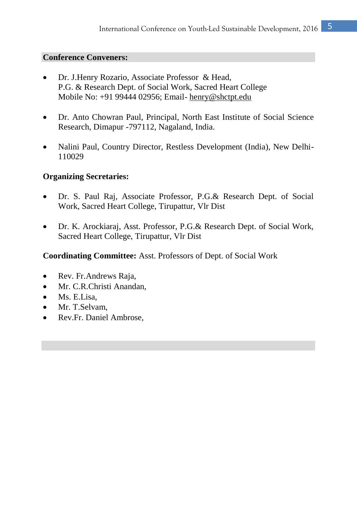### **Conference Conveners:**

- Dr. J.Henry Rozario, Associate Professor & Head, P.G. & Research Dept. of Social Work, Sacred Heart College Mobile No: +91 99444 02956; Email- [henry@shctpt.edu](mailto:henry@shctpt.edu)
- Dr. Anto Chowran Paul, Principal, North East Institute of Social Science Research, Dimapur -797112, Nagaland, India.
- Nalini Paul, Country Director, Restless Development (India), New Delhi-110029

# **Organizing Secretaries:**

- Dr. S. Paul Raj, Associate Professor, P.G.& Research Dept. of Social Work, Sacred Heart College, Tirupattur, Vlr Dist
- Dr. K. Arockiaraj, Asst. Professor, P.G.& Research Dept. of Social Work, Sacred Heart College, Tirupattur, Vlr Dist

**Coordinating Committee:** Asst. Professors of Dept. of Social Work

- Rev. Fr.Andrews Raja,
- Mr. C.R.Christi Anandan,
- Ms. E.Lisa.
- Mr. T.Selvam,
- Rev.Fr. Daniel Ambrose,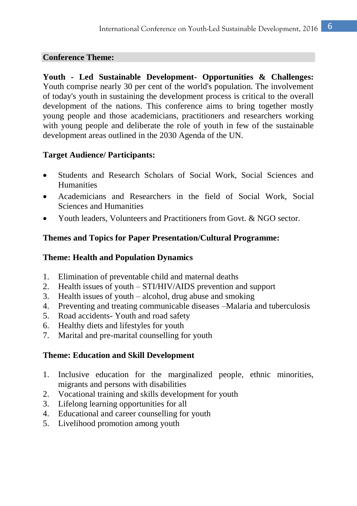### **Conference Theme:**

**Youth - Led Sustainable Development- Opportunities & Challenges:**  Youth comprise nearly 30 per cent of the world's population. The involvement of today's youth in sustaining the development process is critical to the overall development of the nations. This conference aims to bring together mostly young people and those academicians, practitioners and researchers working with young people and deliberate the role of youth in few of the sustainable development areas outlined in the 2030 Agenda of the UN.

# **Target Audience/ Participants:**

- Students and Research Scholars of Social Work, Social Sciences and Humanities
- Academicians and Researchers in the field of Social Work, Social Sciences and Humanities
- Youth leaders, Volunteers and Practitioners from Govt. & NGO sector.

# **Themes and Topics for Paper Presentation/Cultural Programme:**

# **Theme: Health and Population Dynamics**

- 1. Elimination of preventable child and maternal deaths
- 2. Health issues of youth STI/HIV/AIDS prevention and support
- 3. Health issues of youth alcohol, drug abuse and smoking
- 4. Preventing and treating communicable diseases –Malaria and tuberculosis
- 5. Road accidents- Youth and road safety
- 6. Healthy diets and lifestyles for youth
- 7. Marital and pre-marital counselling for youth

# **Theme: Education and Skill Development**

- 1. Inclusive education for the marginalized people, ethnic minorities, migrants and persons with disabilities
- 2. Vocational training and skills development for youth
- 3. Lifelong learning opportunities for all
- 4. Educational and career counselling for youth
- 5. Livelihood promotion among youth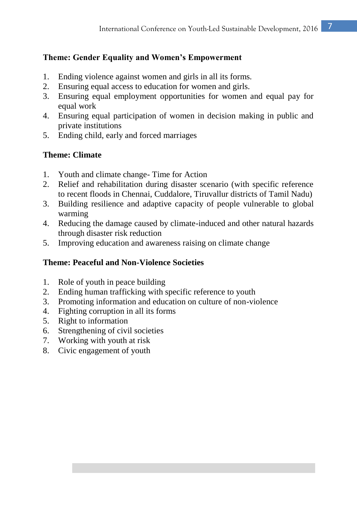# **Theme: Gender Equality and Women's Empowerment**

- 1. Ending violence against women and girls in all its forms.
- 2. Ensuring equal access to education for women and girls.
- 3. Ensuring equal employment opportunities for women and equal pay for equal work
- 4. Ensuring equal participation of women in decision making in public and private institutions
- 5. Ending child, early and forced marriages

# **Theme: Climate**

- 1. Youth and climate change- Time for Action
- 2. Relief and rehabilitation during disaster scenario (with specific reference to recent floods in Chennai, Cuddalore, Tiruvallur districts of Tamil Nadu)
- 3. Building resilience and adaptive capacity of people vulnerable to global warming
- 4. Reducing the damage caused by climate-induced and other natural hazards through disaster risk reduction
- 5. Improving education and awareness raising on climate change

# **Theme: Peaceful and Non-Violence Societies**

- 1. Role of youth in peace building
- 2. Ending human trafficking with specific reference to youth
- 3. Promoting information and education on culture of non-violence
- 4. Fighting corruption in all its forms
- 5. Right to information
- 6. Strengthening of civil societies
- 7. Working with youth at risk
- 8. Civic engagement of youth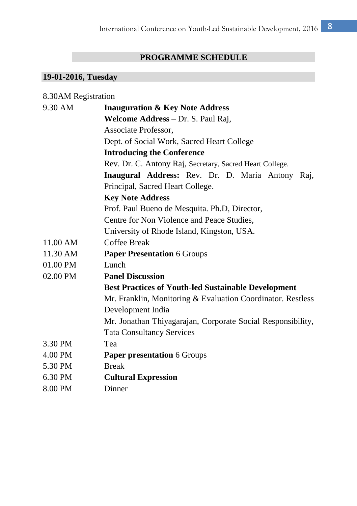# **PROGRAMME SCHEDULE**

# **19-01-2016, Tuesday**

| 8.30AM Registration |                                                             |  |
|---------------------|-------------------------------------------------------------|--|
| 9.30 AM             | <b>Inauguration &amp; Key Note Address</b>                  |  |
|                     | Welcome Address - Dr. S. Paul Raj,                          |  |
|                     | Associate Professor,                                        |  |
|                     | Dept. of Social Work, Sacred Heart College                  |  |
|                     | <b>Introducing the Conference</b>                           |  |
|                     | Rev. Dr. C. Antony Raj, Secretary, Sacred Heart College.    |  |
|                     | Inaugural Address: Rev. Dr. D. Maria Antony Raj,            |  |
|                     | Principal, Sacred Heart College.                            |  |
|                     | <b>Key Note Address</b>                                     |  |
|                     | Prof. Paul Bueno de Mesquita. Ph.D, Director,               |  |
|                     | Centre for Non Violence and Peace Studies,                  |  |
|                     | University of Rhode Island, Kingston, USA.                  |  |
| 11.00 AM            | Coffee Break                                                |  |
| 11.30 AM            | <b>Paper Presentation 6 Groups</b>                          |  |
| 01.00 PM            | Lunch                                                       |  |
| 02.00 PM            | <b>Panel Discussion</b>                                     |  |
|                     | <b>Best Practices of Youth-led Sustainable Development</b>  |  |
|                     | Mr. Franklin, Monitoring & Evaluation Coordinator. Restless |  |
|                     | Development India                                           |  |
|                     | Mr. Jonathan Thiyagarajan, Corporate Social Responsibility, |  |
|                     | <b>Tata Consultancy Services</b>                            |  |
| 3.30 PM             | Tea                                                         |  |
| 4.00 PM             | <b>Paper presentation 6 Groups</b>                          |  |
| 5.30 PM             | <b>Break</b>                                                |  |
| 6.30 PM             | <b>Cultural Expression</b>                                  |  |
| 8.00 PM             | Dinner                                                      |  |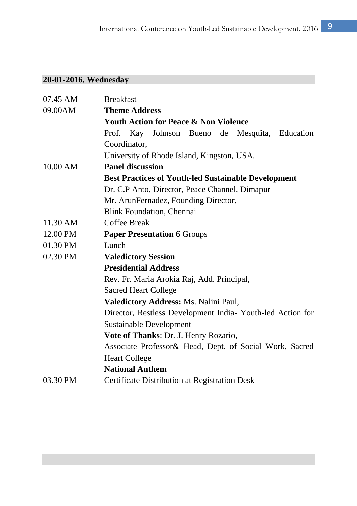# **20-01-2016, Wednesday**

| 07.45 AM           | <b>Breakfast</b>                                           |  |  |  |
|--------------------|------------------------------------------------------------|--|--|--|
| 09.00AM            | <b>Theme Address</b>                                       |  |  |  |
|                    | <b>Youth Action for Peace &amp; Non Violence</b>           |  |  |  |
|                    | Prof. Kay Johnson Bueno de Mesquita, Education             |  |  |  |
|                    | Coordinator,                                               |  |  |  |
|                    | University of Rhode Island, Kingston, USA.                 |  |  |  |
| 10.00 AM           | <b>Panel discussion</b>                                    |  |  |  |
|                    | <b>Best Practices of Youth-led Sustainable Development</b> |  |  |  |
|                    | Dr. C.P Anto, Director, Peace Channel, Dimapur             |  |  |  |
|                    | Mr. ArunFernadez, Founding Director,                       |  |  |  |
|                    | Blink Foundation, Chennai                                  |  |  |  |
| $11.30 \text{ AM}$ | Coffee Break                                               |  |  |  |
| 12.00 PM           | <b>Paper Presentation 6 Groups</b>                         |  |  |  |
| 01.30 PM           | Lunch                                                      |  |  |  |
| 02.30 PM           | <b>Valedictory Session</b>                                 |  |  |  |
|                    | <b>Presidential Address</b>                                |  |  |  |
|                    | Rev. Fr. Maria Arokia Raj, Add. Principal,                 |  |  |  |
|                    | Sacred Heart College                                       |  |  |  |
|                    | <b>Valedictory Address: Ms. Nalini Paul,</b>               |  |  |  |
|                    | Director, Restless Development India- Youth-led Action for |  |  |  |
|                    | Sustainable Development                                    |  |  |  |
|                    | Vote of Thanks: Dr. J. Henry Rozario,                      |  |  |  |
|                    | Associate Professor& Head, Dept. of Social Work, Sacred    |  |  |  |
|                    | <b>Heart College</b>                                       |  |  |  |
|                    | <b>National Anthem</b>                                     |  |  |  |
| 03.30 PM           | Certificate Distribution at Registration Desk              |  |  |  |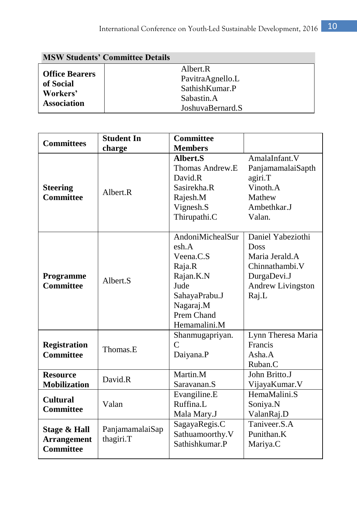| <b>MSW Students' Committee Details</b> |                      |  |
|----------------------------------------|----------------------|--|
| <b>Office Bearers</b>                  | Albert <sub>.R</sub> |  |
| of Social                              | PavitraAgnello.L     |  |
| Workers'                               | Sathish Kumar.P      |  |
| Sabastin.A                             |                      |  |
| <b>Association</b>                     | JoshuvaBernard.S     |  |

| <b>Committees</b>                                      | <b>Student In</b>            | <b>Committee</b>                                                                                                                  |                                                                                                                   |
|--------------------------------------------------------|------------------------------|-----------------------------------------------------------------------------------------------------------------------------------|-------------------------------------------------------------------------------------------------------------------|
|                                                        | charge                       | <b>Members</b>                                                                                                                    |                                                                                                                   |
| <b>Steering</b><br><b>Committee</b>                    | Albert <sub>.R</sub>         | Albert.S<br>Thomas Andrew.E<br>David R<br>Sasirekha.R<br>Rajesh.M<br>Vignesh.S<br>Thirupathi.C                                    | AmalaInfant.V<br>PanjamamalaiSapth<br>agiri.T<br>Vinoth. A<br>Mathew<br>Ambethkar.J<br>Valan.                     |
| Programme<br><b>Committee</b>                          | Albert <sub>S</sub>          | AndoniMichealSur<br>esh.A<br>Veena.C.S<br>Raja.R<br>Rajan.K.N<br>Jude<br>SahayaPrabu.J<br>Nagaraj.M<br>Prem Chand<br>Hemamalini.M | Daniel Yabeziothi<br><b>Doss</b><br>Maria Jerald.A<br>Chinnathambi.V<br>DurgaDevi.J<br>Andrew Livingston<br>Raj.L |
| <b>Registration</b><br><b>Committee</b>                | Thomas.E                     | Shanmugapriyan.<br>$\mathcal{C}$<br>Daiyana.P                                                                                     | Lynn Theresa Maria<br>Francis<br>Asha.A<br>Ruban.C                                                                |
| <b>Resource</b><br><b>Mobilization</b>                 | David.R                      | Martin.M<br>Saravanan.S                                                                                                           | John Britto.J<br>VijayaKumar. V                                                                                   |
| <b>Cultural</b><br><b>Committee</b>                    | Valan                        | Evangiline.E<br>Ruffina.L<br>Mala Mary.J                                                                                          | HemaMalini.S<br>Soniya.N<br>ValanRaj.D                                                                            |
| Stage & Hall<br><b>Arrangement</b><br><b>Committee</b> | PanjamamalaiSap<br>thagiri.T | SagayaRegis.C<br>Sathuamoorthy.V<br>Sathishkumar.P                                                                                | Taniveer <sub>S.A</sub><br>Punithan.K<br>Mariya.C                                                                 |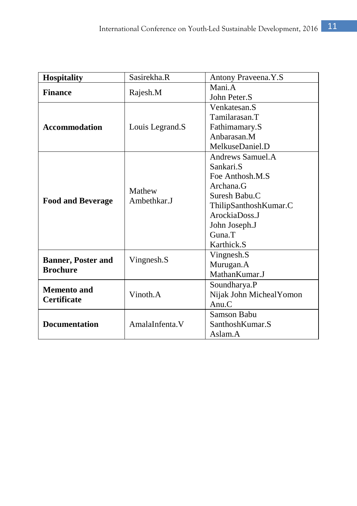| <b>Hospitality</b>                           | Sasirekha.R     | Antony Praveena.Y.S      |
|----------------------------------------------|-----------------|--------------------------|
|                                              |                 | Mani.A                   |
| <b>Finance</b>                               | Rajesh.M        | John Peter.S             |
|                                              |                 | Venkatesan.S             |
|                                              |                 | Tamilarasan.T            |
| <b>Accommodation</b>                         | Louis Legrand.S | Fathimamary.S            |
|                                              |                 | Anbarasan.M              |
|                                              |                 | MelkuseDaniel.D          |
|                                              |                 | Andrews Samuel.A         |
|                                              |                 | Sankari.S                |
|                                              |                 | Foe Anthosh.M.S          |
|                                              | Mathew          | Archana.G                |
|                                              | Ambethkar.J     | Suresh Babu.C            |
| <b>Food and Beverage</b>                     |                 | ThilipSanthoshKumar.C    |
|                                              |                 | ArockiaDoss.J            |
|                                              |                 | John Joseph.J            |
|                                              |                 | $G$ una. $T$             |
|                                              |                 | Karthick.S               |
|                                              | Vingnesh.S      | Vingnesh.S               |
| <b>Banner, Poster and</b><br><b>Brochure</b> |                 | Murugan.A                |
|                                              |                 | MathanKumar.J            |
| <b>Memento and</b>                           |                 | Soundharya.P             |
| <b>Certificate</b>                           | Vinoth.A        | Nijak John Micheal Yomon |
|                                              |                 | Anu.C                    |
|                                              |                 | Samson Babu              |
| <b>Documentation</b>                         | AmalaInfenta.V  | SanthoshKumar.S          |
|                                              |                 | Aslam.A                  |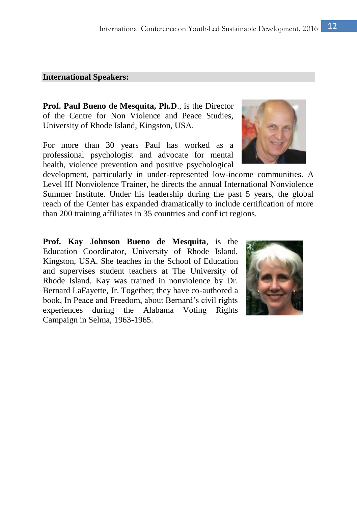#### **International Speakers:**

**Prof. Paul Bueno de Mesquita, Ph.D**., is the Director of the Centre for Non Violence and Peace Studies, University of Rhode Island, Kingston, USA.

For more than 30 years Paul has worked as a professional psychologist and advocate for mental health, violence prevention and positive psychological

development, particularly in under-represented low-income communities. A Level III Nonviolence Trainer, he directs the annual International Nonviolence Summer Institute. Under his leadership during the past 5 years, the global reach of the Center has expanded dramatically to include certification of more than 200 training affiliates in 35 countries and conflict regions.

**Prof. Kay Johnson Bueno de Mesquita**, is the Education Coordinator, University of Rhode Island, Kingston, USA. She teaches in the School of Education and supervises student teachers at The University of Rhode Island. Kay was trained in nonviolence by Dr. Bernard LaFayette, Jr. Together; they have co-authored a book, In Peace and Freedom, about Bernard's civil rights experiences during the Alabama Voting Rights Campaign in Selma, 1963-1965.

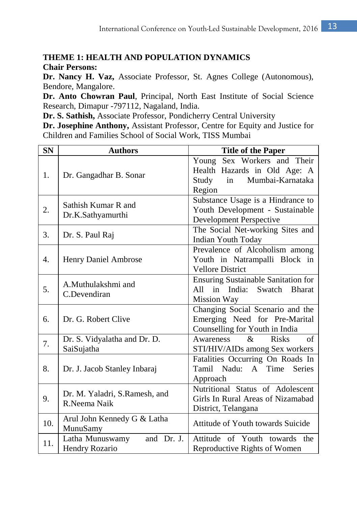# **THEME 1: HEALTH AND POPULATION DYNAMICS**

**Chair Persons:** 

**Dr. Nancy H. Vaz,** Associate Professor, St. Agnes College (Autonomous), Bendore, Mangalore.

**Dr. Anto Chowran Paul**, Principal, North East Institute of Social Science Research, Dimapur -797112, Nagaland, India.

**Dr. S. Sathish,** Associate Professor, Pondicherry Central University

**Dr. Josephine Anthony,** Assistant Professor, Centre for Equity and Justice for Children and Families School of Social Work, TISS Mumbai

| <b>SN</b> | <b>Authors</b>                                  | <b>Title of the Paper</b>                                                                                |
|-----------|-------------------------------------------------|----------------------------------------------------------------------------------------------------------|
| 1.        | Dr. Gangadhar B. Sonar                          | Young Sex Workers and Their<br>Health Hazards in Old Age: A<br>Study<br>in<br>Mumbai-Karnataka<br>Region |
| 2.        | Sathish Kumar R and<br>Dr.K.Sathyamurthi        | Substance Usage is a Hindrance to<br>Youth Development - Sustainable<br>Development Perspective          |
| 3.        | Dr. S. Paul Raj                                 | The Social Net-working Sites and<br><b>Indian Youth Today</b>                                            |
| 4.        | Henry Daniel Ambrose                            | Prevalence of Alcoholism among<br>Youth in Natrampalli Block in<br><b>Vellore District</b>               |
| 5.        | A.Muthulakshmi and<br>C.Devendiran              | <b>Ensuring Sustainable Sanitation for</b><br>in India: Swatch Bharat<br>A11<br>Mission Way              |
| 6.        | Dr. G. Robert Clive                             | Changing Social Scenario and the<br>Emerging Need for Pre-Marital<br>Counselling for Youth in India      |
| 7.        | Dr. S. Vidyalatha and Dr. D.<br>SaiSujatha      | <b>Risks</b><br>of<br>Awareness<br>$\mathcal{R}_{\mathcal{T}}$<br>STI/HIV/AIDs among Sex workers         |
| 8.        | Dr. J. Jacob Stanley Inbaraj                    | Fatalities Occurring On Roads In<br>Time<br>Tamil<br>Nadu: A<br><b>Series</b><br>Approach                |
| 9.        | Dr. M. Yaladri, S.Ramesh, and<br>R.Neema Naik   | Nutritional Status of Adolescent<br>Girls In Rural Areas of Nizamabad<br>District, Telangana             |
| 10.       | Arul John Kennedy G & Latha<br>MunuSamy         | Attitude of Youth towards Suicide                                                                        |
| 11.       | Latha Munuswamy<br>and Dr. J.<br>Hendry Rozario | Attitude of Youth towards the<br>Reproductive Rights of Women                                            |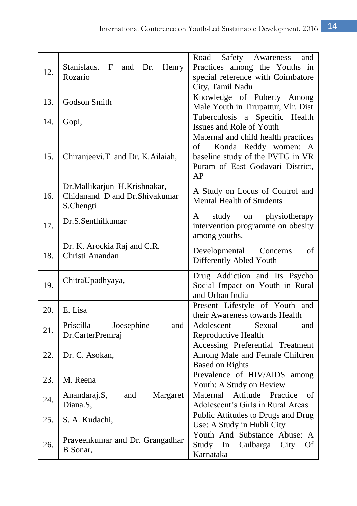| 12. | Stanislaus.<br>F<br>and<br>Dr.<br>Henry<br>Rozario                         | Road<br>Safety Awareness<br>and<br>Practices among the Youths in<br>special reference with Coimbatore<br>City, Tamil Nadu                       |
|-----|----------------------------------------------------------------------------|-------------------------------------------------------------------------------------------------------------------------------------------------|
| 13. | Godson Smith                                                               | Knowledge of Puberty Among<br>Male Youth in Tirupattur, Vlr. Dist                                                                               |
| 14. | Gopi,                                                                      | Specific Health<br>Tuberculosis a<br>Issues and Role of Youth                                                                                   |
| 15. | Chiranjeevi.T and Dr. K.Ailaiah,                                           | Maternal and child health practices<br>Konda Reddy women: A<br>of<br>baseline study of the PVTG in VR<br>Puram of East Godavari District,<br>AP |
| 16. | Dr.Mallikarjun H.Krishnakar,<br>Chidanand D and Dr.Shivakumar<br>S.Chengti | A Study on Locus of Control and<br><b>Mental Health of Students</b>                                                                             |
| 17. | Dr.S.Senthilkumar                                                          | physiotherapy<br>study<br>A<br>on<br>intervention programme on obesity<br>among youths.                                                         |
| 18. | Dr. K. Arockia Raj and C.R.<br>Christi Anandan                             | Developmental<br>of<br>Concerns<br>Differently Abled Youth                                                                                      |
| 19. | ChitraUpadhyaya,                                                           | Drug Addiction and Its Psycho<br>Social Impact on Youth in Rural<br>and Urban India                                                             |
| 20. | E. Lisa                                                                    | Present Lifestyle of Youth and<br>their Awareness towards Health                                                                                |
| 21. | Joesephine<br>Priscilla<br>and<br>Dr.CarterPremraj                         | Adolescent<br>Sexual<br>and<br>Reproductive Health                                                                                              |
| 22. | Dr. C. Asokan,                                                             | Accessing Preferential Treatment<br>Among Male and Female Children<br><b>Based on Rights</b>                                                    |
| 23. | M. Reena                                                                   | Prevalence of HIV/AIDS among<br>Youth: A Study on Review                                                                                        |
| 24. | Anandaraj.S,<br>Margaret<br>and<br>Diana.S,                                | Maternal<br>Attitude<br>Practice<br>of<br>Adolescent's Girls in Rural Areas                                                                     |
| 25. | S. A. Kudachi,                                                             | Public Attitudes to Drugs and Drug<br>Use: A Study in Hubli City                                                                                |
| 26. | Praveenkumar and Dr. Grangadhar<br>B Sonar,                                | Youth And Substance Abuse: A<br>Study<br>In<br>Gulbarga<br>City<br>Of<br>Karnataka                                                              |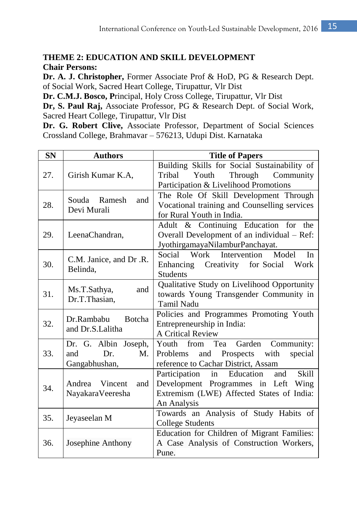# **THEME 2: EDUCATION AND SKILL DEVELOPMENT Chair Persons:**

**Dr. A. J. Christopher,** Former Associate Prof & HoD, PG & Research Dept. of Social Work, Sacred Heart College, Tirupattur, Vlr Dist

**Dr. C.M.J. Bosco, P**rincipal, Holy Cross College, Tirupattur, Vlr Dist

**Dr, S. Paul Raj,** Associate Professor, PG & Research Dept. of Social Work, Sacred Heart College, Tirupattur, Vlr Dist

**Dr. G. Robert Clive,** Associate Professor, Department of Social Sciences Crossland College, Brahmavar – 576213, Udupi Dist. Karnataka

| <b>SN</b> | <b>Authors</b>                                            | <b>Title of Papers</b>                                                                                                                                  |
|-----------|-----------------------------------------------------------|---------------------------------------------------------------------------------------------------------------------------------------------------------|
| 27.       | Girish Kumar K.A.                                         | Building Skills for Social Sustainability of<br>Youth<br>Through<br>Tribal<br>Community<br>Participation & Livelihood Promotions                        |
| 28.       | Souda Ramesh<br>and<br>Devi Murali                        | The Role Of Skill Development Through<br>Vocational training and Counselling services<br>for Rural Youth in India.                                      |
| 29.       | LeenaChandran,                                            | Adult & Continuing Education for the<br>Overall Development of an individual – Ref:<br>JyothirgamayaNilamburPanchayat.                                  |
| 30.       | C.M. Janice, and Dr.R.<br>Belinda.                        | Social Work Intervention Model<br>In<br>Enhancing Creativity for Social<br>Work<br><b>Students</b>                                                      |
| 31.       | Ms.T.Sathya,<br>and<br>Dr.T.Thasian,                      | Qualitative Study on Livelihood Opportunity<br>towards Young Transgender Community in<br><b>Tamil Nadu</b>                                              |
| 32.       | Dr.Rambabu Botcha<br>and Dr.S.Lalitha                     | Policies and Programmes Promoting Youth<br>Entrepreneurship in India:<br><b>A Critical Review</b>                                                       |
| 33.       | Dr. G. Albin Joseph,<br>Dr.<br>M.<br>and<br>Gangabhushan, | Youth from Tea Garden Community:<br>Prospects with<br>and<br>special<br>Problems<br>reference to Cachar District, Assam                                 |
| 34.       | Andrea Vincent<br>and<br>NayakaraVeeresha                 | Participation in<br>Education<br><b>Skill</b><br>and<br>Development Programmes in Left Wing<br>Extremism (LWE) Affected States of India:<br>An Analysis |
| 35.       | Jeyaseelan M                                              | Towards an Analysis of Study Habits of<br><b>College Students</b>                                                                                       |
| 36.       | Josephine Anthony                                         | Education for Children of Migrant Families:<br>A Case Analysis of Construction Workers,<br>Pune.                                                        |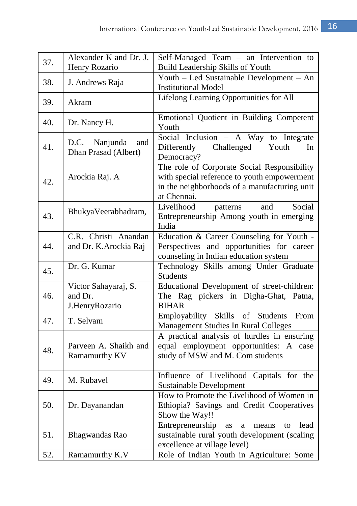| 37. | Alexander K and Dr. J.<br>Henry Rozario           | Self-Managed Team - an Intervention to                                                                                                                    |
|-----|---------------------------------------------------|-----------------------------------------------------------------------------------------------------------------------------------------------------------|
|     |                                                   | Build Leadership Skills of Youth                                                                                                                          |
| 38. | J. Andrews Raja                                   | Youth - Led Sustainable Development - An<br><b>Institutional Model</b>                                                                                    |
| 39. | Akram                                             | Lifelong Learning Opportunities for All                                                                                                                   |
| 40. | Dr. Nancy H.                                      | Emotional Quotient in Building Competent<br>Youth                                                                                                         |
| 41. | D.C.<br>Nanjunda<br>and<br>Dhan Prasad (Albert)   | Social Inclusion $-$ A Way to Integrate<br>Differently<br>Challenged<br>Youth<br>In<br>Democracy?                                                         |
| 42. | Arockia Raj. A                                    | The role of Corporate Social Responsibility<br>with special reference to youth empowerment<br>in the neighborhoods of a manufacturing unit<br>at Chennai. |
| 43. | BhukyaVeerabhadram,                               | Livelihood<br>Social<br>patterns<br>and<br>Entrepreneurship Among youth in emerging<br>India                                                              |
| 44. | C.R. Christi Anandan<br>and Dr. K.Arockia Raj     | Education & Career Counseling for Youth -<br>Perspectives and opportunities for career<br>counseling in Indian education system                           |
| 45. | Dr. G. Kumar                                      | Technology Skills among Under Graduate<br><b>Students</b>                                                                                                 |
| 46. | Victor Sahayaraj, S.<br>and Dr.<br>J.HenryRozario | Educational Development of street-children:<br>The Rag pickers in Digha-Ghat, Patna,<br><b>BIHAR</b>                                                      |
| 47. | T. Selvam                                         | Employability Skills<br>of Students<br>From<br>Management Studies In Rural Colleges                                                                       |
| 48. | Parveen A. Shaikh and<br>Ramamurthy KV            | A practical analysis of hurdles in ensuring<br>equal employment opportunities: A<br>case<br>study of MSW and M. Com students                              |
| 49. | M. Rubavel                                        | Influence of Livelihood Capitals for the<br>Sustainable Development                                                                                       |
| 50. | Dr. Dayanandan                                    | How to Promote the Livelihood of Women in<br>Ethiopia? Savings and Credit Cooperatives<br>Show the Way!!                                                  |
| 51. | Bhagwandas Rao                                    | Entrepreneurship<br>lead<br>as<br>means<br>to<br>a<br>sustainable rural youth development (scaling<br>excellence at village level)                        |
| 52. | Ramamurthy K.V                                    | Role of Indian Youth in Agriculture: Some                                                                                                                 |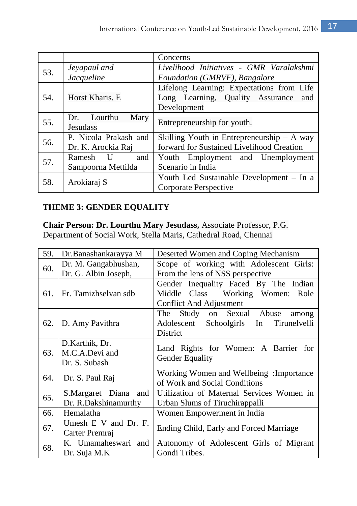|     |                        | Concerns                                     |  |
|-----|------------------------|----------------------------------------------|--|
|     | Jeyapaul and           | Livelihood Initiatives - GMR Varalakshmi     |  |
| 53. | Jacqueline             | Foundation (GMRVF), Bangalore                |  |
|     |                        | Lifelong Learning: Expectations from Life    |  |
| 54. | Horst Kharis, E        | Long Learning, Quality Assurance<br>and      |  |
|     |                        | Development                                  |  |
| 55. | Lourthu<br>Mary<br>Dr. | Entrepreneurship for youth.                  |  |
|     | <b>Jesudass</b>        |                                              |  |
| 56. | P. Nicola Prakash and  | Skilling Youth in Entrepreneurship $-$ A way |  |
|     | Dr. K. Arockia Raj     | forward for Sustained Livelihood Creation    |  |
| 57. | Ramesh U<br>and        | Youth Employment and Unemployment            |  |
|     | Sampoorna Mettilda     | Scenario in India                            |  |
| 58. |                        | Youth Led Sustainable Development – In a     |  |
|     | Arokiaraj S            | Corporate Perspective                        |  |

# **THEME 3: GENDER EQUALITY**

**Chair Person: Dr. Lourthu Mary Jesudass,** Associate Professor, P.G. Department of Social Work, Stella Maris, Cathedral Road, Chennai

| 59. | Dr.Banashankarayya M                              | Deserted Women and Coping Mechanism                                                                  |
|-----|---------------------------------------------------|------------------------------------------------------------------------------------------------------|
| 60. | Dr. M. Gangabhushan,<br>Dr. G. Albin Joseph,      | Scope of working with Adolescent Girls:<br>From the lens of NSS perspective                          |
| 61. | Fr. Tamizhselvan sdb                              | Gender Inequality Faced By The Indian<br>Middle Class Working Women: Role<br>Conflict And Adjustment |
| 62. | D. Amy Pavithra                                   | The Study on Sexual Abuse<br>among<br>Adolescent Schoolgirls In<br>Tirunelvelli<br>District          |
| 63. | D.Karthik, Dr.<br>M.C.A.Devi and<br>Dr. S. Subash | Land Rights for Women: A Barrier for<br>Gender Equality                                              |
| 64. | Dr. S. Paul Raj                                   | Working Women and Wellbeing: Importance<br>of Work and Social Conditions                             |
| 65. | S.Margaret Diana<br>and<br>Dr. R.Dakshinamurthy   | Utilization of Maternal Services Women in<br>Urban Slums of Tiruchirappalli                          |
| 66. | Hemalatha                                         | Women Empowerment in India                                                                           |
| 67. | Umesh E V and Dr. F.<br>Carter Premraj            | Ending Child, Early and Forced Marriage                                                              |
| 68. | K. Umamaheswari and<br>Dr. Suja M.K               | Autonomy of Adolescent Girls of Migrant<br>Gondi Tribes.                                             |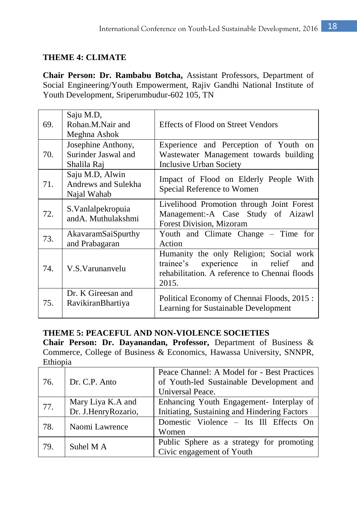# **THEME 4: CLIMATE**

**Chair Person: Dr. Rambabu Botcha,** Assistant Professors, Department of Social Engineering/Youth Empowerment, Rajiv Gandhi National Institute of Youth Development, Sriperumbudur-602 105, TN

| 69. | Saju M.D,<br>Rohan.M.Nair and<br>Meghna Ashok            | Effects of Flood on Street Vendors                                                                                                            |
|-----|----------------------------------------------------------|-----------------------------------------------------------------------------------------------------------------------------------------------|
| 70. | Josephine Anthony,<br>Surinder Jaswal and<br>Shalila Raj | Experience and Perception of Youth on<br>Wastewater Management towards building<br><b>Inclusive Urban Society</b>                             |
| 71. | Saju M.D, Alwin<br>Andrews and Sulekha<br>Najal Wahab    | Impact of Flood on Elderly People With<br>Special Reference to Women                                                                          |
| 72. | S. Vanlalpekropuia<br>andA. Muthulakshmi                 | Livelihood Promotion through Joint Forest<br>Management:-A Case Study of Aizawl<br>Forest Division, Mizoram                                   |
| 73. | AkavaramSaiSpurthy<br>and Prabagaran                     | Youth and Climate Change – Time for<br>Action                                                                                                 |
| 74. | V.S.Varunanvelu                                          | Humanity the only Religion; Social work<br>trainee's experience in<br>relief<br>and<br>rehabilitation. A reference to Chennai floods<br>2015. |
| 75. | Dr. K Gireesan and<br>RavikiranBhartiya                  | Political Economy of Chennai Floods, 2015:<br>Learning for Sustainable Development                                                            |

# **THEME 5: PEACEFUL AND NON-VIOLENCE SOCIETIES**

**Chair Person: Dr. Dayanandan, Professor,** Department of Business & Commerce, College of Business & Economics, Hawassa University, SNNPR, Ethiopia

| 76. | Dr. C.P. Anto                            | Peace Channel: A Model for - Best Practices<br>of Youth-led Sustainable Development and<br>Universal Peace. |
|-----|------------------------------------------|-------------------------------------------------------------------------------------------------------------|
| 77. | Mary Liya K.A and<br>Dr. J.HenryRozario, | Enhancing Youth Engagement- Interplay of<br>Initiating, Sustaining and Hindering Factors                    |
| 78. | Naomi Lawrence                           | Domestic Violence – Its Ill Effects On<br>Women                                                             |
| 79. | Suhel M A                                | Public Sphere as a strategy for promoting<br>Civic engagement of Youth                                      |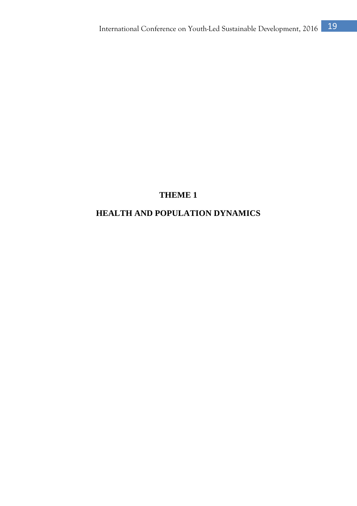# **THEME 1**

# **HEALTH AND POPULATION DYNAMICS**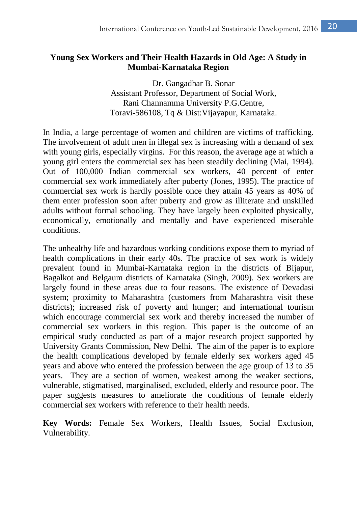# **Young Sex Workers and Their Health Hazards in Old Age: A Study in Mumbai-Karnataka Region**

Dr. Gangadhar B. Sonar Assistant Professor, Department of Social Work, Rani Channamma University P.G.Centre, Toravi-586108, Tq & Dist:Vijayapur, Karnataka.

In India, a large percentage of women and children are victims of trafficking. The involvement of adult men in illegal sex is increasing with a demand of sex with young girls, especially virgins. For this reason, the average age at which a young girl enters the commercial sex has been steadily declining (Mai, 1994). Out of 100,000 Indian commercial sex workers, 40 percent of enter commercial sex work immediately after puberty (Jones, 1995). The practice of commercial sex work is hardly possible once they attain 45 years as 40% of them enter profession soon after puberty and grow as illiterate and unskilled adults without formal schooling. They have largely been exploited physically, economically, emotionally and mentally and have experienced miserable conditions.

The unhealthy life and hazardous working conditions expose them to myriad of health complications in their early 40s. The practice of sex work is widely prevalent found in Mumbai-Karnataka region in the districts of Bijapur, Bagalkot and Belgaum districts of Karnataka (Singh, 2009). Sex workers are largely found in these areas due to four reasons. The existence of Devadasi system; proximity to Maharashtra (customers from Maharashtra visit these districts); increased risk of poverty and hunger; and international tourism which encourage commercial sex work and thereby increased the number of commercial sex workers in this region. This paper is the outcome of an empirical study conducted as part of a major research project supported by University Grants Commission, New Delhi. The aim of the paper is to explore the health complications developed by female elderly sex workers aged 45 years and above who entered the profession between the age group of 13 to 35 years. They are a section of women, weakest among the weaker sections, vulnerable, stigmatised, marginalised, excluded, elderly and resource poor. The paper suggests measures to ameliorate the conditions of female elderly commercial sex workers with reference to their health needs.

**Key Words:** Female Sex Workers, Health Issues, Social Exclusion, Vulnerability.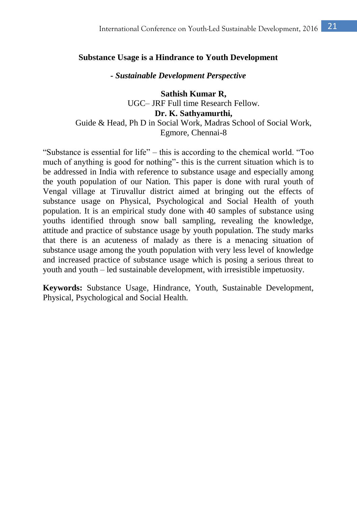#### **Substance Usage is a Hindrance to Youth Development**

#### *- Sustainable Development Perspective*

**Sathish Kumar R,** UGC– JRF Full time Research Fellow. **Dr. K. Sathyamurthi,** Guide & Head, Ph D in Social Work, Madras School of Social Work, Egmore, Chennai-8

"Substance is essential for life" – this is according to the chemical world. "Too much of anything is good for nothing"- this is the current situation which is to be addressed in India with reference to substance usage and especially among the youth population of our Nation. This paper is done with rural youth of Vengal village at Tiruvallur district aimed at bringing out the effects of substance usage on Physical, Psychological and Social Health of youth population. It is an empirical study done with 40 samples of substance using youths identified through snow ball sampling, revealing the knowledge, attitude and practice of substance usage by youth population. The study marks that there is an acuteness of malady as there is a menacing situation of substance usage among the youth population with very less level of knowledge and increased practice of substance usage which is posing a serious threat to youth and youth – led sustainable development, with irresistible impetuosity.

**Keywords:** Substance Usage, Hindrance, Youth, Sustainable Development, Physical, Psychological and Social Health.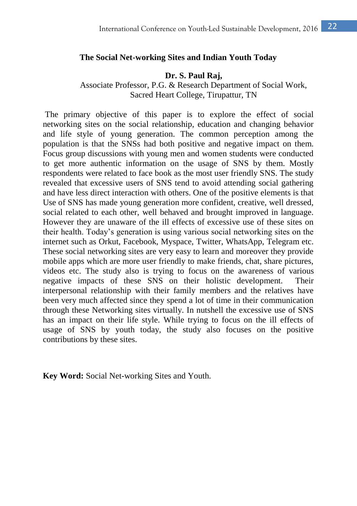#### **The Social Net-working Sites and Indian Youth Today**

#### **Dr. S. Paul Raj,**

Associate Professor, P.G. & Research Department of Social Work, Sacred Heart College, Tirupattur, TN

The primary objective of this paper is to explore the effect of social networking sites on the social relationship, education and changing behavior and life style of young generation. The common perception among the population is that the SNSs had both positive and negative impact on them. Focus group discussions with young men and women students were conducted to get more authentic information on the usage of SNS by them. Mostly respondents were related to face book as the most user friendly SNS. The study revealed that excessive users of SNS tend to avoid attending social gathering and have less direct interaction with others. One of the positive elements is that Use of SNS has made young generation more confident, creative, well dressed, social related to each other, well behaved and brought improved in language. However they are unaware of the ill effects of excessive use of these sites on their health. Today's generation is using various social networking sites on the internet such as Orkut, Facebook, Myspace, Twitter, WhatsApp, Telegram etc. These social networking sites are very easy to learn and moreover they provide mobile apps which are more user friendly to make friends, chat, share pictures, videos etc. The study also is trying to focus on the awareness of various negative impacts of these SNS on their holistic development. Their interpersonal relationship with their family members and the relatives have been very much affected since they spend a lot of time in their communication through these Networking sites virtually. In nutshell the excessive use of SNS has an impact on their life style. While trying to focus on the ill effects of usage of SNS by youth today, the study also focuses on the positive contributions by these sites.

**Key Word:** Social Net-working Sites and Youth.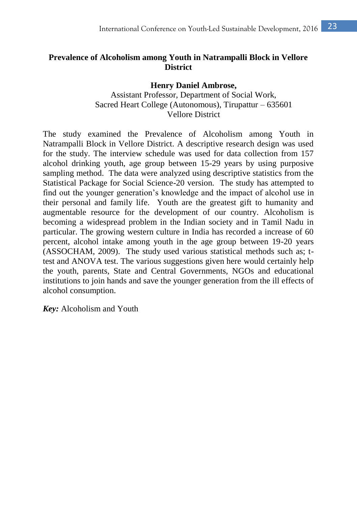# **Prevalence of Alcoholism among Youth in Natrampalli Block in Vellore District**

**Henry Daniel Ambrose,** Assistant Professor, Department of Social Work, Sacred Heart College (Autonomous), Tirupattur – 635601 Vellore District

The study examined the Prevalence of Alcoholism among Youth in Natrampalli Block in Vellore District. A descriptive research design was used for the study. The interview schedule was used for data collection from 157 alcohol drinking youth, age group between 15-29 years by using purposive sampling method. The data were analyzed using descriptive statistics from the Statistical Package for Social Science-20 version. The study has attempted to find out the younger generation's knowledge and the impact of alcohol use in their personal and family life. Youth are the greatest gift to humanity and augmentable resource for the development of our country. Alcoholism is becoming a widespread problem in the Indian society and in Tamil Nadu in particular. The growing western culture in India has recorded a increase of 60 percent, alcohol intake among youth in the age group between 19-20 years (ASSOCHAM, 2009). The study used various statistical methods such as; ttest and ANOVA test. The various suggestions given here would certainly help the youth, parents, State and Central Governments, NGOs and educational institutions to join hands and save the younger generation from the ill effects of alcohol consumption.

*Key:* Alcoholism and Youth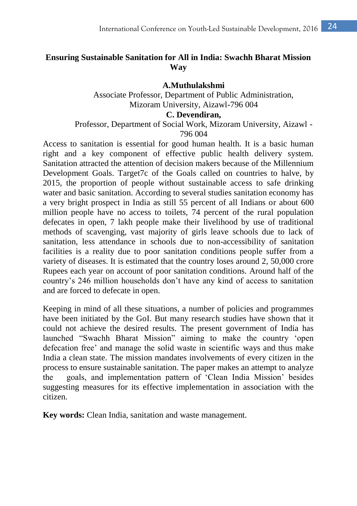# **Ensuring Sustainable Sanitation for All in India: Swachh Bharat Mission Way**

**A.Muthulakshmi** Associate Professor, Department of Public Administration, Mizoram University, Aizawl-796 004

### **C. Devendiran,**

### Professor, Department of Social Work, Mizoram University, Aizawl - 796 004

Access to sanitation is essential for good human health. It is a basic human right and a key component of effective public health delivery system. Sanitation attracted the attention of decision makers because of the Millennium Development Goals. Target7c of the Goals called on countries to halve, by 2015, the proportion of people without sustainable access to safe drinking water and basic sanitation. According to several studies sanitation economy has a very bright prospect in India as still 55 percent of all Indians or about 600 million people have no access to toilets, 74 percent of the rural population defecates in open, 7 lakh people make their livelihood by use of traditional methods of scavenging, vast majority of girls leave schools due to lack of sanitation, less attendance in schools due to non-accessibility of sanitation facilities is a reality due to poor sanitation conditions people suffer from a variety of diseases. It is estimated that the country loses around 2, 50,000 crore Rupees each year on account of poor sanitation conditions. Around half of the country's 246 million households don't have any kind of access to sanitation and are forced to defecate in open.

Keeping in mind of all these situations, a number of policies and programmes have been initiated by the GoI. But many research studies have shown that it could not achieve the desired results. The present government of India has launched "Swachh Bharat Mission" aiming to make the country 'open defecation free' and manage the solid waste in scientific ways and thus make India a clean state. The mission mandates involvements of every citizen in the process to ensure sustainable sanitation. The paper makes an attempt to analyze the goals, and implementation pattern of 'Clean India Mission' besides suggesting measures for its effective implementation in association with the citizen.

**Key words:** Clean India, sanitation and waste management.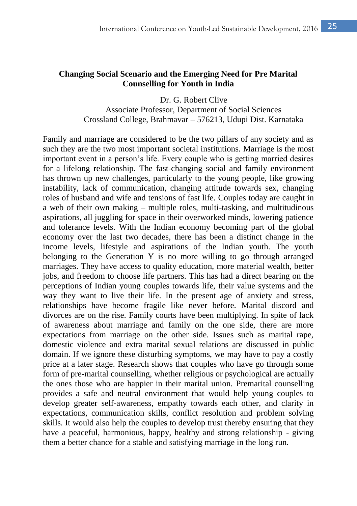# **Changing Social Scenario and the Emerging Need for Pre Marital Counselling for Youth in India**

Dr. G. Robert Clive Associate Professor, Department of Social Sciences Crossland College, Brahmavar – 576213, Udupi Dist. Karnataka

Family and marriage are considered to be the two pillars of any society and as such they are the two most important societal institutions. Marriage is the most important event in a person's life. Every couple who is getting married desires for a lifelong relationship. The fast-changing social and family environment has thrown up new challenges, particularly to the young people, like growing instability, lack of communication, changing attitude towards sex, changing roles of husband and wife and tensions of fast life. Couples today are caught in a web of their own making – multiple roles, multi-tasking, and multitudinous aspirations, all juggling for space in their overworked minds, lowering patience and tolerance levels. With the Indian economy becoming part of the global economy over the last two decades, there has been a distinct change in the income levels, lifestyle and aspirations of the Indian youth. The youth belonging to the Generation Y is no more willing to go through arranged marriages. They have access to quality education, more material wealth, better jobs, and freedom to choose life partners. This has had a direct bearing on the perceptions of Indian young couples towards life, their value systems and the way they want to live their life. In the present age of anxiety and stress, relationships have become fragile like never before. Marital discord and divorces are on the rise. Family courts have been multiplying. In spite of lack of awareness about marriage and family on the one side, there are more expectations from marriage on the other side. Issues such as marital rape, domestic violence and extra marital sexual relations are discussed in public domain. If we ignore these disturbing symptoms, we may have to pay a costly price at a later stage. Research shows that couples who have go through some form of pre-marital counselling, whether religious or psychological are actually the ones those who are happier in their marital union. Premarital counselling provides a safe and neutral environment that would help young couples to develop greater self-awareness, empathy towards each other, and clarity in expectations, communication skills, conflict resolution and problem solving skills. It would also help the couples to develop trust thereby ensuring that they have a peaceful, harmonious, happy, healthy and strong relationship - giving them a better chance for a stable and satisfying marriage in the long run.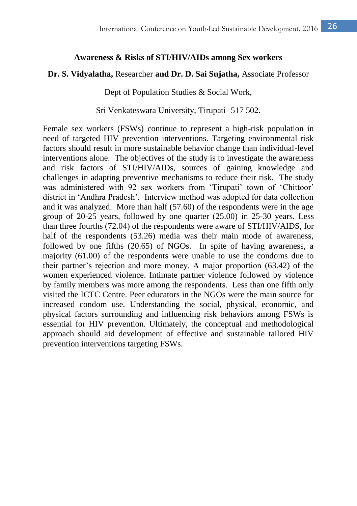#### **Awareness & Risks of STI/HIV/AIDs among Sex workers**

#### **Dr. S. Vidyalatha,** Researcher **and Dr. D. Sai Sujatha,** Associate Professor

Dept of Population Studies & Social Work,

Sri Venkateswara University, Tirupati- 517 502.

Female sex workers (FSWs) continue to represent a high-risk population in need of targeted HIV prevention interventions. Targeting environmental risk factors should result in more sustainable behavior change than individual-level interventions alone. The objectives of the study is to investigate the awareness and risk factors of STI/HIV/AIDs, sources of gaining knowledge and challenges in adapting preventive mechanisms to reduce their risk. The study was administered with 92 sex workers from 'Tirupati' town of 'Chittoor' district in 'Andhra Pradesh'. Interview method was adopted for data collection and it was analyzed. More than half (57.60) of the respondents were in the age group of 20-25 years, followed by one quarter (25.00) in 25-30 years. Less than three fourths (72.04) of the respondents were aware of STI/HIV/AIDS, for half of the respondents (53.26) media was their main mode of awareness, followed by one fifths (20.65) of NGOs. In spite of having awareness, a majority (61.00) of the respondents were unable to use the condoms due to their partner's rejection and more money. A major proportion (63.42) of the women experienced violence. Intimate partner violence followed by violence by family members was more among the respondents. Less than one fifth only visited the ICTC Centre. Peer educators in the NGOs were the main source for increased condom use. Understanding the social, physical, economic, and physical factors surrounding and influencing risk behaviors among FSWs is essential for HIV prevention. Ultimately, the conceptual and methodological approach should aid development of effective and sustainable tailored HIV prevention interventions targeting FSWs.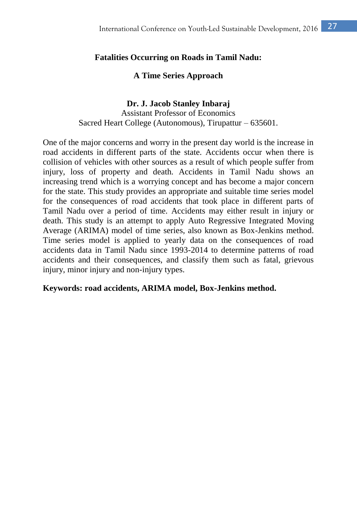# **Fatalities Occurring on Roads in Tamil Nadu:**

### **A Time Series Approach**

#### **Dr. J. Jacob Stanley Inbaraj**

Assistant Professor of Economics Sacred Heart College (Autonomous), Tirupattur – 635601.

One of the major concerns and worry in the present day world is the increase in road accidents in different parts of the state. Accidents occur when there is collision of vehicles with other sources as a result of which people suffer from injury, loss of property and death. Accidents in Tamil Nadu shows an increasing trend which is a worrying concept and has become a major concern for the state. This study provides an appropriate and suitable time series model for the consequences of road accidents that took place in different parts of Tamil Nadu over a period of time. Accidents may either result in injury or death. This study is an attempt to apply Auto Regressive Integrated Moving Average (ARIMA) model of time series, also known as Box-Jenkins method. Time series model is applied to yearly data on the consequences of road accidents data in Tamil Nadu since 1993-2014 to determine patterns of road accidents and their consequences, and classify them such as fatal, grievous injury, minor injury and non-injury types.

#### **Keywords: road accidents, ARIMA model, Box-Jenkins method.**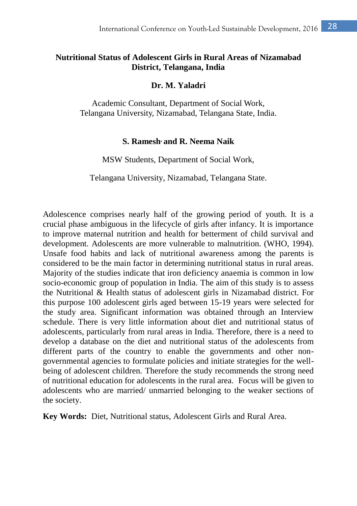# **Nutritional Status of Adolescent Girls in Rural Areas of Nizamabad District, Telangana, India**

#### **Dr. M. Yaladri**

Academic Consultant, Department of Social Work, Telangana University, Nizamabad, Telangana State, India.

#### **S. Ramesh, and R. Neema Naik**

MSW Students, Department of Social Work,

Telangana University, Nizamabad, Telangana State.

Adolescence comprises nearly half of the growing period of youth. It is a crucial phase ambiguous in the lifecycle of girls after infancy. It is importance to improve maternal nutrition and health for betterment of child survival and development. Adolescents are more vulnerable to malnutrition. (WHO, 1994). Unsafe food habits and lack of nutritional awareness among the parents is considered to be the main factor in determining nutritional status in rural areas. Majority of the studies indicate that iron deficiency anaemia is common in low socio-economic group of population in India. The aim of this study is to assess the Nutritional & Health status of adolescent girls in Nizamabad district. For this purpose 100 adolescent girls aged between 15-19 years were selected for the study area. Significant information was obtained through an Interview schedule. There is very little information about diet and nutritional status of adolescents, particularly from rural areas in India. Therefore, there is a need to develop a database on the diet and nutritional status of the adolescents from different parts of the country to enable the governments and other nongovernmental agencies to formulate policies and initiate strategies for the wellbeing of adolescent children. Therefore the study recommends the strong need of nutritional education for adolescents in the rural area. Focus will be given to adolescents who are married/ unmarried belonging to the weaker sections of the society.

**Key Words:** Diet, Nutritional status, Adolescent Girls and Rural Area.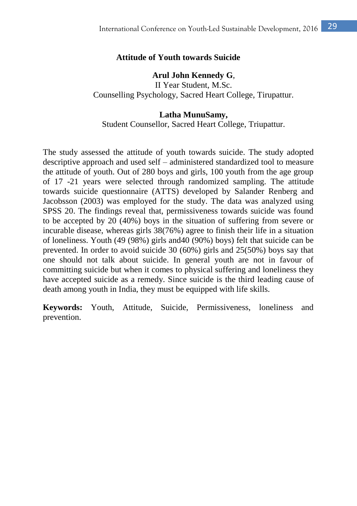### **Attitude of Youth towards Suicide**

#### **Arul John Kennedy G**,

II Year Student, M.Sc. Counselling Psychology, Sacred Heart College, Tirupattur.

#### **Latha MunuSamy,**

Student Counsellor, Sacred Heart College, Triupattur.

The study assessed the attitude of youth towards suicide. The study adopted descriptive approach and used self – administered standardized tool to measure the attitude of youth. Out of 280 boys and girls, 100 youth from the age group of 17 -21 years were selected through randomized sampling. The attitude towards suicide questionnaire (ATTS) developed by Salander Renberg and Jacobsson (2003) was employed for the study. The data was analyzed using SPSS 20. The findings reveal that, permissiveness towards suicide was found to be accepted by 20 (40%) boys in the situation of suffering from severe or incurable disease, whereas girls 38(76%) agree to finish their life in a situation of loneliness. Youth (49 (98%) girls and40 (90%) boys) felt that suicide can be prevented. In order to avoid suicide 30 (60%) girls and 25(50%) boys say that one should not talk about suicide. In general youth are not in favour of committing suicide but when it comes to physical suffering and loneliness they have accepted suicide as a remedy. Since suicide is the third leading cause of death among youth in India, they must be equipped with life skills.

**Keywords:** Youth, Attitude, Suicide, Permissiveness, loneliness and prevention.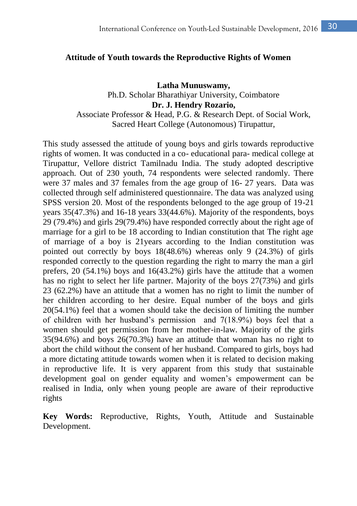#### **Attitude of Youth towards the Reproductive Rights of Women**

**Latha Munuswamy,** Ph.D. Scholar Bharathiyar University, Coimbatore **Dr. J. Hendry Rozario,** Associate Professor & Head, P.G. & Research Dept. of Social Work, Sacred Heart College (Autonomous) Tirupattur,

This study assessed the attitude of young boys and girls towards reproductive rights of women. It was conducted in a co- educational para- medical college at Tirupattur, Vellore district Tamilnadu India. The study adopted descriptive approach. Out of 230 youth, 74 respondents were selected randomly. There were 37 males and 37 females from the age group of 16- 27 years. Data was collected through self administered questionnaire. The data was analyzed using SPSS version 20. Most of the respondents belonged to the age group of 19-21 years 35(47.3%) and 16-18 years 33(44.6%). Majority of the respondents, boys 29 (79.4%) and girls 29(79.4%) have responded correctly about the right age of marriage for a girl to be 18 according to Indian constitution that The right age of marriage of a boy is 21years according to the Indian constitution was pointed out correctly by boys 18(48.6%) whereas only 9 (24.3%) of girls responded correctly to the question regarding the right to marry the man a girl prefers, 20 (54.1%) boys and 16(43.2%) girls have the attitude that a women has no right to select her life partner. Majority of the boys 27(73%) and girls 23 (62.2%) have an attitude that a women has no right to limit the number of her children according to her desire. Equal number of the boys and girls 20(54.1%) feel that a women should take the decision of limiting the number of children with her husband's permission and 7(18.9%) boys feel that a women should get permission from her mother-in-law. Majority of the girls 35(94.6%) and boys 26(70.3%) have an attitude that woman has no right to abort the child without the consent of her husband. Compared to girls, boys had a more dictating attitude towards women when it is related to decision making in reproductive life. It is very apparent from this study that sustainable development goal on gender equality and women's empowerment can be realised in India, only when young people are aware of their reproductive rights

**Key Words:** Reproductive, Rights, Youth, Attitude and Sustainable Development.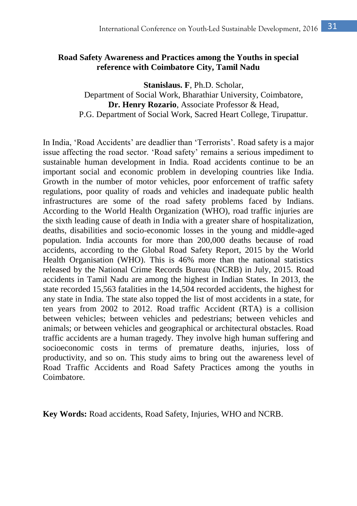# **Road Safety Awareness and Practices among the Youths in special reference with Coimbatore City, Tamil Nadu**

**Stanislaus. F**, Ph.D. Scholar, Department of Social Work, Bharathiar University, Coimbatore, **Dr. Henry Rozario**, Associate Professor & Head, P.G. Department of Social Work, Sacred Heart College, Tirupattur.

In India, 'Road Accidents' are deadlier than 'Terrorists'. Road safety is a major issue affecting the road sector. 'Road safety' remains a serious impediment to sustainable human development in India. Road accidents continue to be an important social and economic problem in developing countries like India. Growth in the number of motor vehicles, poor enforcement of traffic safety regulations, poor quality of roads and vehicles and inadequate public health infrastructures are some of the road safety problems faced by Indians. According to the World Health Organization (WHO), road traffic injuries are the sixth leading cause of death in India with a greater share of hospitalization, deaths, disabilities and socio-economic losses in the young and middle-aged population. India accounts for more than 200,000 deaths because of road accidents, according to the Global Road Safety Report, 2015 by the World Health Organisation (WHO). This is 46% more than the national statistics released by the National Crime Records Bureau (NCRB) in July, 2015. Road accidents in Tamil Nadu are among the highest in Indian States. In 2013, the state recorded 15,563 fatalities in the 14,504 recorded accidents, the highest for any state in India. The state also topped the list of most accidents in a state, for ten years from 2002 to 2012. Road traffic Accident (RTA) is a collision between vehicles; between vehicles and pedestrians; between vehicles and animals; or between vehicles and geographical or architectural obstacles. Road traffic accidents are a human tragedy. They involve high human suffering and socioeconomic costs in terms of premature deaths, injuries, loss of productivity, and so on. This study aims to bring out the awareness level of Road Traffic Accidents and Road Safety Practices among the youths in Coimbatore.

**Key Words:** Road accidents, Road Safety, Injuries, WHO and NCRB.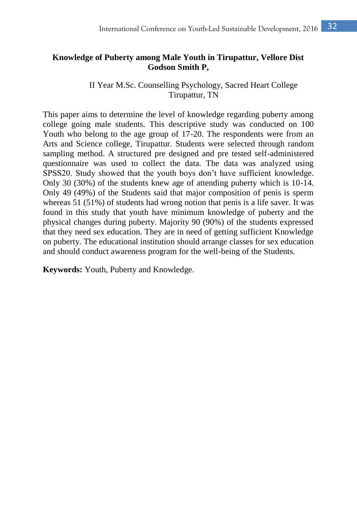# **Knowledge of Puberty among Male Youth in Tirupattur, Vellore Dist Godson Smith P,**

### II Year M.Sc. Counselling Psychology, Sacred Heart College Tirupattur, TN

This paper aims to determine the level of knowledge regarding puberty among college going male students. This descriptive study was conducted on 100 Youth who belong to the age group of 17-20. The respondents were from an Arts and Science college, Tirupattur. Students were selected through random sampling method. A structured pre designed and pre tested self-administered questionnaire was used to collect the data. The data was analyzed using SPSS20. Study showed that the youth boys don't have sufficient knowledge. Only 30 (30%) of the students knew age of attending puberty which is 10-14. Only 49 (49%) of the Students said that major composition of penis is sperm whereas 51 (51%) of students had wrong notion that penis is a life saver. It was found in this study that youth have minimum knowledge of puberty and the physical changes during puberty. Majority 90 (90%) of the students expressed that they need sex education. They are in need of getting sufficient Knowledge on puberty. The educational institution should arrange classes for sex education and should conduct awareness program for the well-being of the Students.

**Keywords:** Youth, Puberty and Knowledge.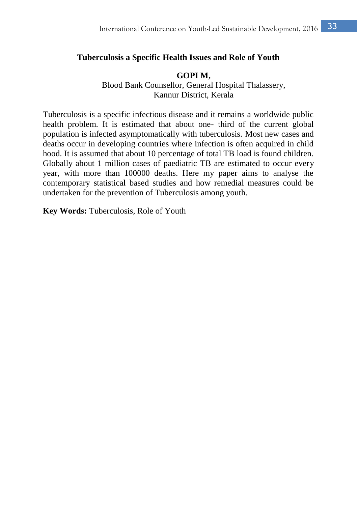#### **Tuberculosis a Specific Health Issues and Role of Youth**

#### **GOPI M,**

Blood Bank Counsellor, General Hospital Thalassery, Kannur District, Kerala

Tuberculosis is a specific infectious disease and it remains a worldwide public health problem. It is estimated that about one- third of the current global population is infected asymptomatically with tuberculosis. Most new cases and deaths occur in developing countries where infection is often acquired in child hood. It is assumed that about 10 percentage of total TB load is found children. Globally about 1 million cases of paediatric TB are estimated to occur every year, with more than 100000 deaths. Here my paper aims to analyse the contemporary statistical based studies and how remedial measures could be undertaken for the prevention of Tuberculosis among youth.

**Key Words:** Tuberculosis, Role of Youth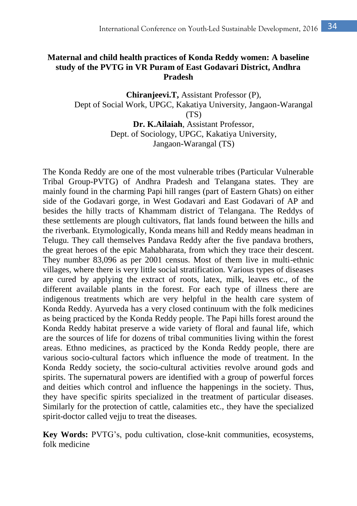# **Maternal and child health practices of Konda Reddy women: A baseline study of the PVTG in VR Puram of East Godavari District, Andhra Pradesh**

**Chiranjeevi.T,** Assistant Professor (P), Dept of Social Work, UPGC, Kakatiya University, Jangaon-Warangal  $(TS)$ **Dr. K.Ailaiah**, Assistant Professor,

Dept. of Sociology, UPGC, Kakatiya University, Jangaon-Warangal (TS)

The Konda Reddy are one of the most vulnerable tribes (Particular Vulnerable Tribal Group-PVTG) of Andhra Pradesh and Telangana states. They are mainly found in the charming Papi hill ranges (part of Eastern Ghats) on either side of the Godavari gorge, in West Godavari and East Godavari of AP and besides the hilly tracts of Khammam district of Telangana. The Reddys of these settlements are plough cultivators, flat lands found between the hills and the riverbank. Etymologically, Konda means hill and Reddy means headman in Telugu. They call themselves Pandava Reddy after the five pandava brothers, the great heroes of the epic Mahabharata, from which they trace their descent. They number 83,096 as per 2001 census. Most of them live in multi-ethnic villages, where there is very little social stratification. Various types of diseases are cured by applying the extract of roots, latex, milk, leaves etc., of the different available plants in the forest. For each type of illness there are indigenous treatments which are very helpful in the health care system of Konda Reddy. Ayurveda has a very closed continuum with the folk medicines as being practiced by the Konda Reddy people. The Papi hills forest around the Konda Reddy habitat preserve a wide variety of floral and faunal life, which are the sources of life for dozens of tribal communities living within the forest areas. Ethno medicines, as practiced by the Konda Reddy people, there are various socio-cultural factors which influence the mode of treatment. In the Konda Reddy society, the socio-cultural activities revolve around gods and spirits. The supernatural powers are identified with a group of powerful forces and deities which control and influence the happenings in the society. Thus, they have specific spirits specialized in the treatment of particular diseases. Similarly for the protection of cattle, calamities etc., they have the specialized spirit-doctor called vejju to treat the diseases.

**Key Words:** PVTG's, podu cultivation, close-knit communities, ecosystems, folk medicine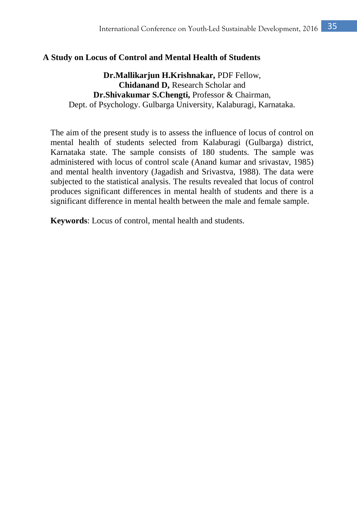### **A Study on Locus of Control and Mental Health of Students**

**Dr.Mallikarjun H.Krishnakar,** PDF Fellow, **Chidanand D,** Research Scholar and **Dr.Shivakumar S.Chengti,** Professor & Chairman, Dept. of Psychology. Gulbarga University, Kalaburagi, Karnataka.

The aim of the present study is to assess the influence of locus of control on mental health of students selected from Kalaburagi (Gulbarga) district, Karnataka state. The sample consists of 180 students. The sample was administered with locus of control scale (Anand kumar and srivastav, 1985) and mental health inventory (Jagadish and Srivastva, 1988). The data were subjected to the statistical analysis. The results revealed that locus of control produces significant differences in mental health of students and there is a significant difference in mental health between the male and female sample.

**Keywords**: Locus of control, mental health and students.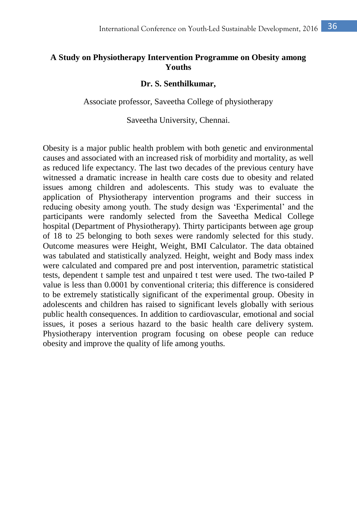# **A Study on Physiotherapy Intervention Programme on Obesity among Youths**

#### **Dr. S. Senthilkumar,**

Associate professor, Saveetha College of physiotherapy

Saveetha University, Chennai.

Obesity is a major public health problem with both genetic and environmental causes and associated with an increased risk of morbidity and mortality, as well as reduced life expectancy. The last two decades of the previous century have witnessed a dramatic increase in health care costs due to obesity and related issues among children and adolescents. This study was to evaluate the application of Physiotherapy intervention programs and their success in reducing obesity among youth. The study design was 'Experimental' and the participants were randomly selected from the Saveetha Medical College hospital (Department of Physiotherapy). Thirty participants between age group of 18 to 25 belonging to both sexes were randomly selected for this study. Outcome measures were Height, Weight, BMI Calculator. The data obtained was tabulated and statistically analyzed. Height, weight and Body mass index were calculated and compared pre and post intervention, parametric statistical tests, dependent t sample test and unpaired t test were used. The two-tailed P value is less than 0.0001 by conventional criteria; this difference is considered to be extremely statistically significant of the experimental group. Obesity in adolescents and children has raised to significant levels globally with serious public health consequences. In addition to cardiovascular, emotional and social issues, it poses a serious hazard to the basic health care delivery system. Physiotherapy intervention program focusing on obese people can reduce obesity and improve the quality of life among youths.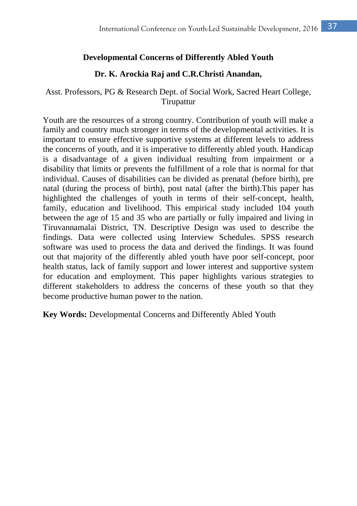### **Developmental Concerns of Differently Abled Youth**

### **Dr. K. Arockia Raj and C.R.Christi Anandan,**

## Asst. Professors, PG & Research Dept. of Social Work, Sacred Heart College, Tirupattur

Youth are the resources of a strong country. Contribution of youth will make a family and country much stronger in terms of the developmental activities. It is important to ensure effective supportive systems at different levels to address the concerns of youth, and it is imperative to differently abled youth. Handicap is a disadvantage of a given individual resulting from impairment or a disability that limits or prevents the fulfillment of a role that is normal for that individual. Causes of disabilities can be divided as prenatal (before birth), pre natal (during the process of birth), post natal (after the birth).This paper has highlighted the challenges of youth in terms of their self-concept, health, family, education and livelihood. This empirical study included 104 youth between the age of 15 and 35 who are partially or fully impaired and living in Tiruvannamalai District, TN. Descriptive Design was used to describe the findings. Data were collected using Interview Schedules. SPSS research software was used to process the data and derived the findings. It was found out that majority of the differently abled youth have poor self-concept, poor health status, lack of family support and lower interest and supportive system for education and employment. This paper highlights various strategies to different stakeholders to address the concerns of these youth so that they become productive human power to the nation.

**Key Words:** Developmental Concerns and Differently Abled Youth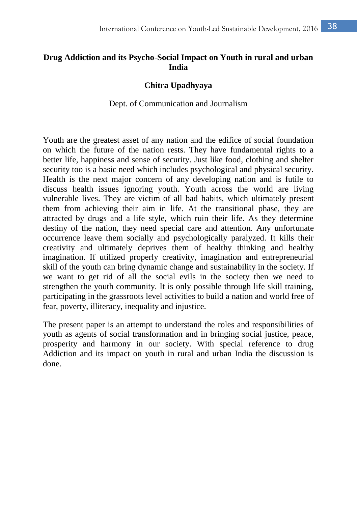# **Drug Addiction and its Psycho-Social Impact on Youth in rural and urban India**

#### **Chitra Upadhyaya**

#### Dept. of Communication and Journalism

Youth are the greatest asset of any nation and the edifice of social foundation on which the future of the nation rests. They have fundamental rights to a better life, happiness and sense of security. Just like food, clothing and shelter security too is a basic need which includes psychological and physical security. Health is the next major concern of any developing nation and is futile to discuss health issues ignoring youth. Youth across the world are living vulnerable lives. They are victim of all bad habits, which ultimately present them from achieving their aim in life. At the transitional phase, they are attracted by drugs and a life style, which ruin their life. As they determine destiny of the nation, they need special care and attention. Any unfortunate occurrence leave them socially and psychologically paralyzed. It kills their creativity and ultimately deprives them of healthy thinking and healthy imagination. If utilized properly creativity, imagination and entrepreneurial skill of the youth can bring dynamic change and sustainability in the society. If we want to get rid of all the social evils in the society then we need to strengthen the youth community. It is only possible through life skill training, participating in the grassroots level activities to build a nation and world free of fear, poverty, illiteracy, inequality and injustice.

The present paper is an attempt to understand the roles and responsibilities of youth as agents of social transformation and in bringing social justice, peace, prosperity and harmony in our society. With special reference to drug Addiction and its impact on youth in rural and urban India the discussion is done.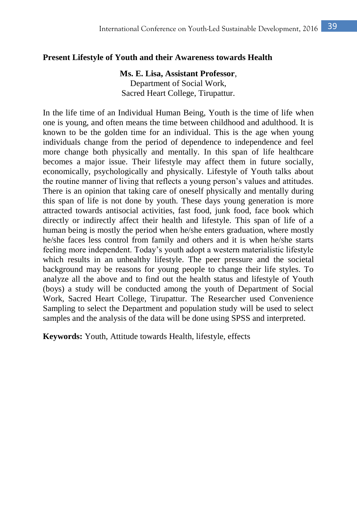#### **Present Lifestyle of Youth and their Awareness towards Health**

**Ms. E. Lisa, Assistant Professor**, Department of Social Work, Sacred Heart College, Tirupattur.

In the life time of an Individual Human Being, Youth is the time of life when one is young, and often means the time between childhood and adulthood. It is known to be the golden time for an individual. This is the age when young individuals change from the period of dependence to independence and feel more change both physically and mentally. In this span of life healthcare becomes a major issue. Their lifestyle may affect them in future socially, economically, psychologically and physically. Lifestyle of Youth talks about the routine manner of living that reflects a young person's values and attitudes. There is an opinion that taking care of oneself physically and mentally during this span of life is not done by youth. These days young generation is more attracted towards antisocial activities, fast food, junk food, face book which directly or indirectly affect their health and lifestyle. This span of life of a human being is mostly the period when he/she enters graduation, where mostly he/she faces less control from family and others and it is when he/she starts feeling more independent. Today's youth adopt a western materialistic lifestyle which results in an unhealthy lifestyle. The peer pressure and the societal background may be reasons for young people to change their life styles. To analyze all the above and to find out the health status and lifestyle of Youth (boys) a study will be conducted among the youth of Department of Social Work, Sacred Heart College, Tirupattur. The Researcher used Convenience Sampling to select the Department and population study will be used to select samples and the analysis of the data will be done using SPSS and interpreted.

**Keywords:** Youth, Attitude towards Health, lifestyle, effects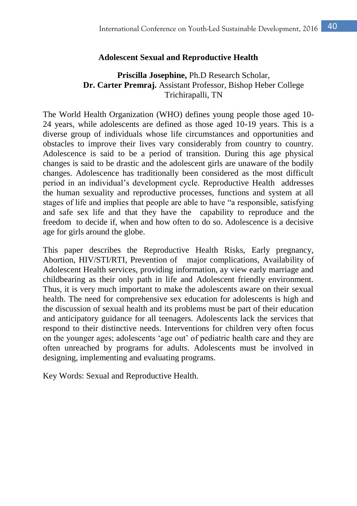### **Adolescent Sexual and Reproductive Health**

### **Priscilla Josephine,** Ph.D Research Scholar, **Dr. Carter Premraj.** Assistant Professor, Bishop Heber College Trichirapalli, TN

The World Health Organization (WHO) defines young people those aged 10- 24 years, while adolescents are defined as those aged 10-19 years. This is a diverse group of individuals whose life circumstances and opportunities and obstacles to improve their lives vary considerably from country to country. Adolescence is said to be a period of transition. During this age physical changes is said to be drastic and the adolescent girls are unaware of the bodily changes. Adolescence has traditionally been considered as the most difficult period in an individual's development cycle. Reproductive Health addresses the human sexuality and reproductive processes, functions and system at all stages of life and implies that people are able to have "a responsible, satisfying and safe sex life and that they have the capability to reproduce and the freedom to decide if, when and how often to do so. Adolescence is a decisive age for girls around the globe.

This paper describes the Reproductive Health Risks, Early pregnancy, Abortion, HIV/STI/RTI, Prevention of major complications, Availability of Adolescent Health services, providing information, ay view early marriage and childbearing as their only path in life and Adolescent friendly environment. Thus, it is very much important to make the adolescents aware on their sexual health. The need for comprehensive sex education for adolescents is high and the discussion of sexual health and its problems must be part of their education and anticipatory guidance for all teenagers. Adolescents lack the services that respond to their distinctive needs. Interventions for children very often focus on the younger ages; adolescents 'age out' of pediatric health care and they are often unreached by programs for adults. Adolescents must be involved in designing, implementing and evaluating programs.

Key Words: Sexual and Reproductive Health.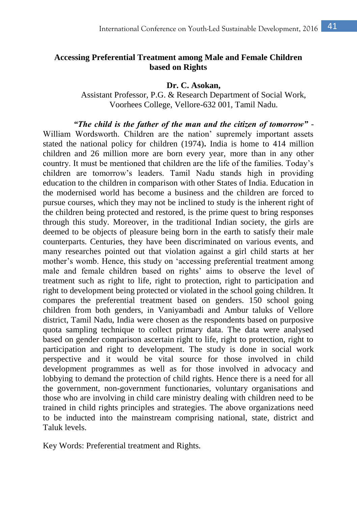## **Accessing Preferential Treatment among Male and Female Children based on Rights**

**Dr. C. Asokan,**

Assistant Professor, P.G. & Research Department of Social Work, Voorhees College, Vellore-632 001, Tamil Nadu.

*"The child is the father of the man and the citizen of tomorrow"* - William Wordsworth. Children are the nation' supremely important assets stated the national policy for children (1974)**.** India is home to 414 million children and 26 million more are born every year, more than in any other country. It must be mentioned that children are the life of the families. Today's children are tomorrow's leaders. Tamil Nadu stands high in providing education to the children in comparison with other States of India. Education in the modernised world has become a business and the children are forced to pursue courses, which they may not be inclined to study is the inherent right of the children being protected and restored, is the prime quest to bring responses through this study. Moreover, in the traditional Indian society, the girls are deemed to be objects of pleasure being born in the earth to satisfy their male counterparts. Centuries, they have been discriminated on various events, and many researches pointed out that violation against a girl child starts at her mother's womb. Hence, this study on 'accessing preferential treatment among male and female children based on rights' aims to observe the level of treatment such as right to life, right to protection, right to participation and right to development being protected or violated in the school going children. It compares the preferential treatment based on genders. 150 school going children from both genders, in Vaniyambadi and Ambur taluks of Vellore district, Tamil Nadu, India were chosen as the respondents based on purposive quota sampling technique to collect primary data. The data were analysed based on gender comparison ascertain right to life, right to protection, right to participation and right to development. The study is done in social work perspective and it would be vital source for those involved in child development programmes as well as for those involved in advocacy and lobbying to demand the protection of child rights. Hence there is a need for all the government, non-government functionaries, voluntary organisations and those who are involving in child care ministry dealing with children need to be trained in child rights principles and strategies. The above organizations need to be inducted into the mainstream comprising national, state, district and Taluk levels.

Key Words: Preferential treatment and Rights.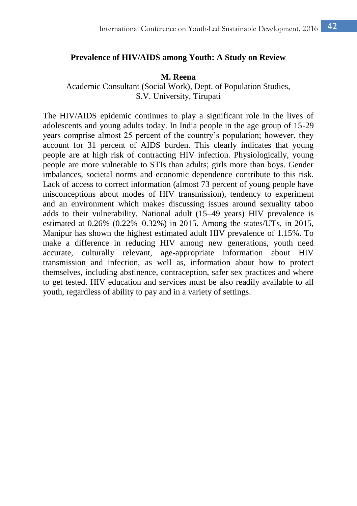#### **Prevalence of HIV/AIDS among Youth: A Study on Review**

#### **M. Reena**

Academic Consultant (Social Work), Dept. of Population Studies, S.V. University, Tirupati

The HIV/AIDS epidemic continues to play a significant role in the lives of adolescents and young adults today. In India people in the age group of 15-29 years comprise almost 25 percent of the country's population; however, they account for 31 percent of AIDS burden. This clearly indicates that young people are at high risk of contracting HIV infection. Physiologically, young people are more vulnerable to STIs than adults; girls more than boys. Gender imbalances, societal norms and economic dependence contribute to this risk. Lack of access to correct information (almost 73 percent of young people have misconceptions about modes of HIV transmission), tendency to experiment and an environment which makes discussing issues around sexuality taboo adds to their vulnerability. National adult (15–49 years) HIV prevalence is estimated at 0.26% (0.22%–0.32%) in 2015. Among the states/UTs, in 2015, Manipur has shown the highest estimated adult HIV prevalence of 1.15%. To make a difference in reducing HIV among new generations, youth need accurate, culturally relevant, age-appropriate information about HIV transmission and infection, as well as, information about how to protect themselves, including abstinence, contraception, safer sex practices and where to get tested. HIV education and services must be also readily available to all youth, regardless of ability to pay and in a variety of settings.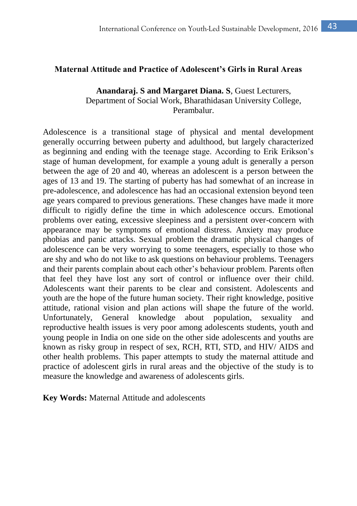#### **Maternal Attitude and Practice of Adolescent's Girls in Rural Areas**

#### **Anandaraj. S and Margaret Diana. S**, Guest Lecturers, Department of Social Work, Bharathidasan University College, Perambalur.

Adolescence is a transitional stage of physical and mental development generally occurring between puberty and adulthood, but largely characterized as beginning and ending with the teenage stage. According to Erik Erikson's stage of human development, for example a young adult is generally a person between the age of 20 and 40, whereas an adolescent is a person between the ages of 13 and 19. The starting of puberty has had somewhat of an increase in pre-adolescence, and adolescence has had an occasional extension beyond teen age years compared to previous generations. These changes have made it more difficult to rigidly define the time in which adolescence occurs. Emotional problems over eating, excessive sleepiness and a persistent over-concern with appearance may be symptoms of emotional distress. Anxiety may produce phobias and panic attacks. Sexual problem the dramatic physical changes of adolescence can be very worrying to some teenagers, especially to those who are shy and who do not like to ask questions on behaviour problems. Teenagers and their parents complain about each other's behaviour problem. Parents often that feel they have lost any sort of control or influence over their child. Adolescents want their parents to be clear and consistent. Adolescents and youth are the hope of the future human society. Their right knowledge, positive attitude, rational vision and plan actions will shape the future of the world. Unfortunately, General knowledge about population, sexuality and reproductive health issues is very poor among adolescents students, youth and young people in India on one side on the other side adolescents and youths are known as risky group in respect of sex, RCH, RTI, STD, and HIV/ AIDS and other health problems. This paper attempts to study the maternal attitude and practice of adolescent girls in rural areas and the objective of the study is to measure the knowledge and awareness of adolescents girls.

**Key Words:** Maternal Attitude and adolescents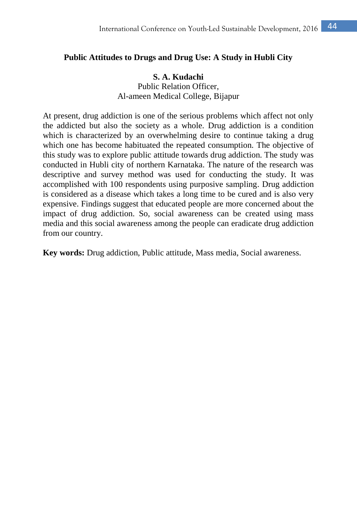#### **Public Attitudes to Drugs and Drug Use: A Study in Hubli City**

#### **S. A. Kudachi**

Public Relation Officer Al-ameen Medical College, Bijapur

At present, drug addiction is one of the serious problems which affect not only the addicted but also the society as a whole. Drug addiction is a condition which is characterized by an overwhelming desire to continue taking a drug which one has become habituated the repeated consumption. The objective of this study was to explore public attitude towards drug addiction. The study was conducted in Hubli city of northern Karnataka. The nature of the research was descriptive and survey method was used for conducting the study. It was accomplished with 100 respondents using purposive sampling. Drug addiction is considered as a disease which takes a long time to be cured and is also very expensive. Findings suggest that educated people are more concerned about the impact of drug addiction. So, social awareness can be created using mass media and this social awareness among the people can eradicate drug addiction from our country.

**Key words:** Drug addiction, Public attitude, Mass media, Social awareness.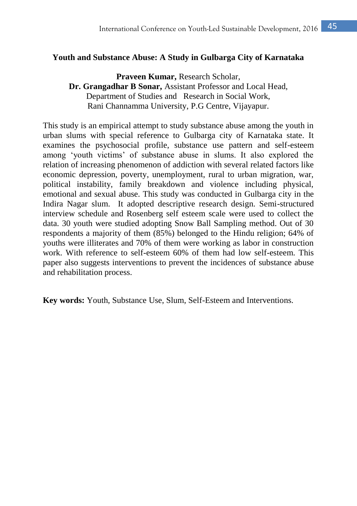### **Youth and Substance Abuse: A Study in Gulbarga City of Karnataka**

**Praveen Kumar,** Research Scholar, **Dr. Grangadhar B Sonar,** Assistant Professor and Local Head, Department of Studies and Research in Social Work, Rani Channamma University, P.G Centre, Vijayapur.

This study is an empirical attempt to study substance abuse among the youth in urban slums with special reference to Gulbarga city of Karnataka state. It examines the psychosocial profile, substance use pattern and self-esteem among 'youth victims' of substance abuse in slums. It also explored the relation of increasing phenomenon of addiction with several related factors like economic depression, poverty, unemployment, rural to urban migration, war, political instability, family breakdown and violence including physical, emotional and sexual abuse. This study was conducted in Gulbarga city in the Indira Nagar slum. It adopted descriptive research design. Semi-structured interview schedule and Rosenberg self esteem scale were used to collect the data. 30 youth were studied adopting Snow Ball Sampling method. Out of 30 respondents a majority of them (85%) belonged to the Hindu religion; 64% of youths were illiterates and 70% of them were working as labor in construction work. With reference to self-esteem 60% of them had low self-esteem. This paper also suggests interventions to prevent the incidences of substance abuse and rehabilitation process.

**Key words:** Youth, Substance Use, Slum, Self-Esteem and Interventions.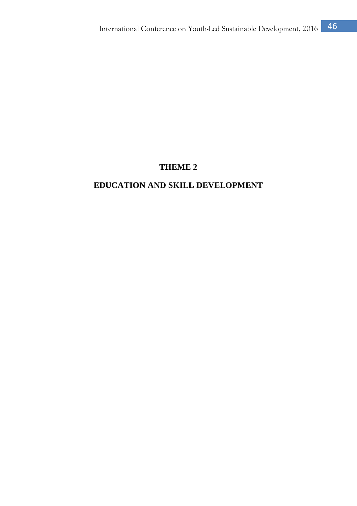# **THEME 2**

# **EDUCATION AND SKILL DEVELOPMENT**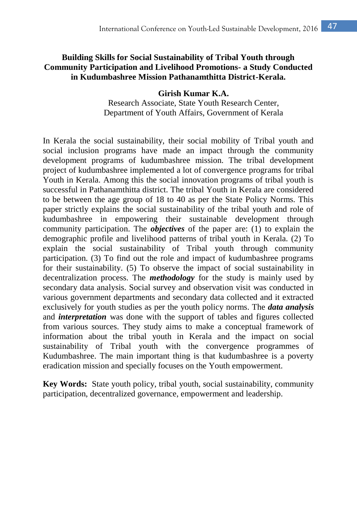## **Building Skills for Social Sustainability of Tribal Youth through Community Participation and Livelihood Promotions- a Study Conducted in Kudumbashree Mission Pathanamthitta District-Kerala.**

#### **Girish Kumar K.A.**

Research Associate, State Youth Research Center, Department of Youth Affairs, Government of Kerala

In Kerala the social sustainability, their social mobility of Tribal youth and social inclusion programs have made an impact through the community development programs of kudumbashree mission. The tribal development project of kudumbashree implemented a lot of convergence programs for tribal Youth in Kerala. Among this the social innovation programs of tribal youth is successful in Pathanamthitta district. The tribal Youth in Kerala are considered to be between the age group of 18 to 40 as per the State Policy Norms. This paper strictly explains the social sustainability of the tribal youth and role of kudumbashree in empowering their sustainable development through community participation. The *objectives* of the paper are: (1) to explain the demographic profile and livelihood patterns of tribal youth in Kerala. (2) To explain the social sustainability of Tribal youth through community participation. (3) To find out the role and impact of kudumbashree programs for their sustainability. (5) To observe the impact of social sustainability in decentralization process. The *methodology* for the study is mainly used by secondary data analysis. Social survey and observation visit was conducted in various government departments and secondary data collected and it extracted exclusively for youth studies as per the youth policy norms. The *data analysis* and *interpretation* was done with the support of tables and figures collected from various sources. They study aims to make a conceptual framework of information about the tribal youth in Kerala and the impact on social sustainability of Tribal youth with the convergence programmes of Kudumbashree. The main important thing is that kudumbashree is a poverty eradication mission and specially focuses on the Youth empowerment.

**Key Words:** State youth policy, tribal youth, social sustainability, community participation, decentralized governance, empowerment and leadership.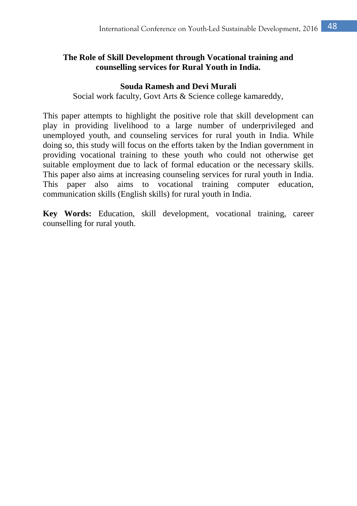# **The Role of Skill Development through Vocational training and counselling services for Rural Youth in India.**

#### **Souda Ramesh and Devi Murali**

Social work faculty, Govt Arts & Science college kamareddy,

This paper attempts to highlight the positive role that skill development can play in providing livelihood to a large number of underprivileged and unemployed youth, and counseling services for rural youth in India. While doing so, this study will focus on the efforts taken by the Indian government in providing vocational training to these youth who could not otherwise get suitable employment due to lack of formal education or the necessary skills. This paper also aims at increasing counseling services for rural youth in India. This paper also aims to vocational training computer education, communication skills (English skills) for rural youth in India.

**Key Words:** Education, skill development, vocational training, career counselling for rural youth.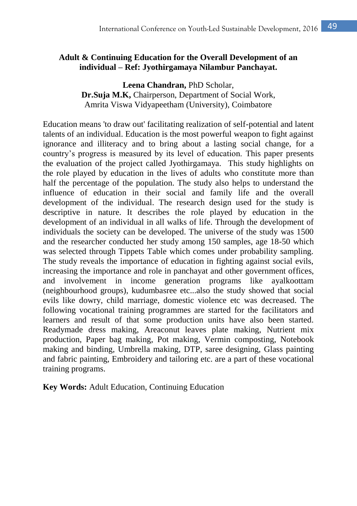# **Adult & Continuing Education for the Overall Development of an individual – Ref: Jyothirgamaya Nilambur Panchayat.**

**Leena Chandran,** PhD Scholar, **Dr.Suja M.K,** Chairperson, Department of Social Work, Amrita Viswa Vidyapeetham (University), Coimbatore

Education means 'to draw out' facilitating realization of self-potential and latent talents of an individual. Education is the most powerful weapon to fight against ignorance and illiteracy and to bring about a lasting social change, for a country's progress is measured by its level of education. This paper presents the evaluation of the project called Jyothirgamaya. This study highlights on the role played by education in the lives of adults who constitute more than half the percentage of the population. The study also helps to understand the influence of education in their social and family life and the overall development of the individual. The research design used for the study is descriptive in nature. It describes the role played by education in the development of an individual in all walks of life. Through the development of individuals the society can be developed. The universe of the study was 1500 and the researcher conducted her study among 150 samples, age 18-50 which was selected through Tippets Table which comes under probability sampling. The study reveals the importance of education in fighting against social evils, increasing the importance and role in panchayat and other government offices, and involvement in income generation programs like ayalkoottam (neighbourhood groups), kudumbasree etc...also the study showed that social evils like dowry, child marriage, domestic violence etc was decreased. The following vocational training programmes are started for the facilitators and learners and result of that some production units have also been started. Readymade dress making, Areaconut leaves plate making, Nutrient mix production, Paper bag making, Pot making, Vermin composting, Notebook making and binding, Umbrella making, DTP, saree designing, Glass painting and fabric painting, Embroidery and tailoring etc. are a part of these vocational training programs.

**Key Words:** Adult Education, Continuing Education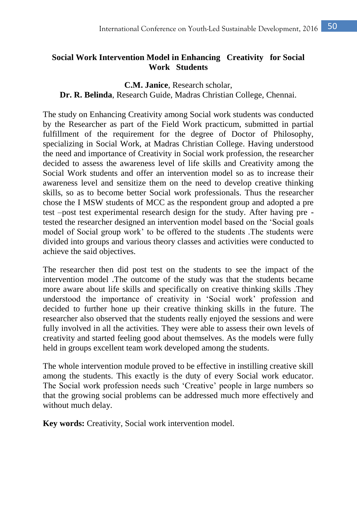# **Social Work Intervention Model in Enhancing Creativity for Social Work Students**

### **C.M. Janice**, Research scholar, **Dr. R. Belinda**, Research Guide, Madras Christian College, Chennai.

The study on Enhancing Creativity among Social work students was conducted by the Researcher as part of the Field Work practicum, submitted in partial fulfillment of the requirement for the degree of Doctor of Philosophy, specializing in Social Work, at Madras Christian College. Having understood the need and importance of Creativity in Social work profession, the researcher decided to assess the awareness level of life skills and Creativity among the Social Work students and offer an intervention model so as to increase their awareness level and sensitize them on the need to develop creative thinking skills, so as to become better Social work professionals. Thus the researcher chose the I MSW students of MCC as the respondent group and adopted a pre test –post test experimental research design for the study. After having pre tested the researcher designed an intervention model based on the 'Social goals model of Social group work' to be offered to the students .The students were divided into groups and various theory classes and activities were conducted to achieve the said objectives.

The researcher then did post test on the students to see the impact of the intervention model .The outcome of the study was that the students became more aware about life skills and specifically on creative thinking skills .They understood the importance of creativity in 'Social work' profession and decided to further hone up their creative thinking skills in the future. The researcher also observed that the students really enjoyed the sessions and were fully involved in all the activities. They were able to assess their own levels of creativity and started feeling good about themselves. As the models were fully held in groups excellent team work developed among the students.

The whole intervention module proved to be effective in instilling creative skill among the students. This exactly is the duty of every Social work educator. The Social work profession needs such 'Creative' people in large numbers so that the growing social problems can be addressed much more effectively and without much delay.

**Key words:** Creativity, Social work intervention model.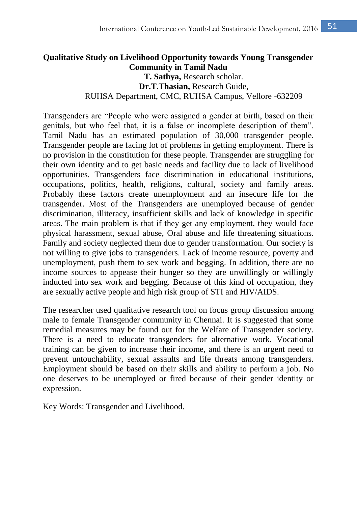# **Qualitative Study on Livelihood Opportunity towards Young Transgender Community in Tamil Nadu T. Sathya,** Research scholar. **Dr.T.Thasian,** Research Guide, RUHSA Department, CMC, RUHSA Campus, Vellore -632209

Transgenders are "People who were assigned a gender at birth, based on their genitals, but who feel that, it is a false or incomplete description of them". [Tamil Nadu](http://en.wikipedia.org/wiki/Tamil_Nadu) has an estimated population of 30,000 transgender people. Transgender people are facing lot of problems in getting employment. There is no provision in the constitution for these people. Transgender are struggling for their own identity and to get basic needs and facility due to lack of livelihood opportunities. Transgenders face discrimination in educational institutions, occupations, politics, health, religions, cultural, society and family areas. Probably these factors create unemployment and an insecure life for the transgender. Most of the Transgenders are unemployed because of gender discrimination, illiteracy, insufficient skills and lack of knowledge in specific areas. The main problem is that if they get any employment, they would face physical harassment, sexual abuse, Oral abuse and life threatening situations. Family and society neglected them due to gender transformation. Our society is not willing to give jobs to transgenders. Lack of income resource, poverty and unemployment, push them to sex work and begging. In addition, there are no income sources to appease their hunger so they are unwillingly or willingly inducted into sex work and begging. Because of this kind of occupation, they are sexually active people and high risk group of STI and HIV/AIDS.

The researcher used qualitative research tool on focus group discussion among male to female Transgender community in Chennai. It is suggested that some remedial measures may be found out for the Welfare of Transgender society. There is a need to educate transgenders for alternative work. Vocational training can be given to increase their income, and there is an urgent need to prevent untouchability, sexual assaults and life threats among transgenders. Employment should be based on their skills and ability to perform a job. No one deserves to be unemployed or fired because of their gender identity or expression.

Key Words: Transgender and Livelihood.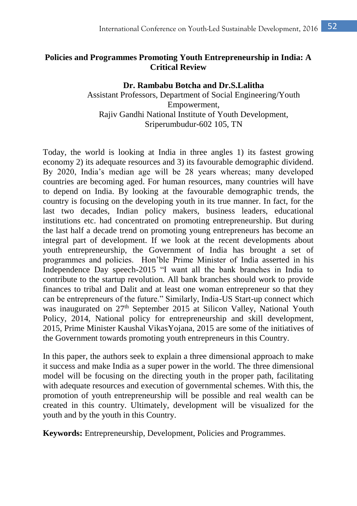# **Policies and Programmes Promoting Youth Entrepreneurship in India: A Critical Review**

### **Dr. Rambabu Botcha and Dr.S.Lalitha** Assistant Professors, Department of Social Engineering/Youth Empowerment, Rajiv Gandhi National Institute of Youth Development, Sriperumbudur-602 105, TN

Today, the world is looking at India in three angles 1) its fastest growing economy 2) its adequate resources and 3) its favourable demographic dividend. By 2020, India's median age will be 28 years whereas; many developed countries are becoming aged. For human resources, many countries will have to depend on India. By looking at the favourable demographic trends, the country is focusing on the developing youth in its true manner. In fact, for the last two decades, Indian policy makers, business leaders, educational institutions etc. had concentrated on promoting entrepreneurship. But during the last half a decade trend on promoting young entrepreneurs has become an integral part of development. If we look at the recent developments about youth entrepreneurship, the Government of India has brought a set of programmes and policies. Hon'ble Prime Minister of India asserted in his Independence Day speech-2015 "I want all the bank branches in India to contribute to the startup revolution. All bank branches should work to provide finances to tribal and Dalit and at least one woman entrepreneur so that they can be entrepreneurs of the future." Similarly, India-US Start-up connect which was inaugurated on 27<sup>th</sup> September 2015 at Silicon Valley, National Youth Policy, 2014, National policy for entrepreneurship and skill development, 2015, Prime Minister Kaushal VikasYojana, 2015 are some of the initiatives of the Government towards promoting youth entrepreneurs in this Country.

In this paper, the authors seek to explain a three dimensional approach to make it success and make India as a super power in the world. The three dimensional model will be focusing on the directing youth in the proper path, facilitating with adequate resources and execution of governmental schemes. With this, the promotion of youth entrepreneurship will be possible and real wealth can be created in this country. Ultimately, development will be visualized for the youth and by the youth in this Country.

**Keywords:** Entrepreneurship, Development, Policies and Programmes.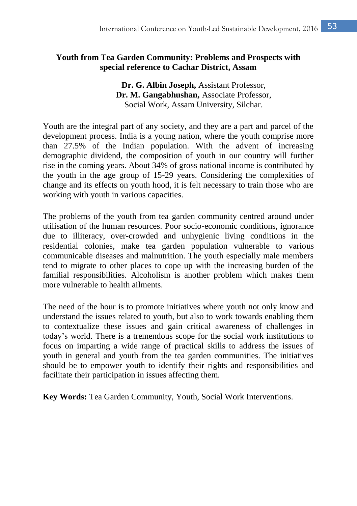# **Youth from Tea Garden Community: Problems and Prospects with special reference to Cachar District, Assam**

**Dr. G. Albin Joseph,** Assistant Professor, **Dr. M. Gangabhushan,** Associate Professor, Social Work, Assam University, Silchar.

Youth are the integral part of any society, and they are a part and parcel of the development process. India is a young nation, where the youth comprise more than 27.5% of the Indian population. With the advent of increasing demographic dividend, the composition of youth in our country will further rise in the coming years. About 34% of gross national income is contributed by the youth in the age group of 15-29 years. Considering the complexities of change and its effects on youth hood, it is felt necessary to train those who are working with youth in various capacities.

The problems of the youth from tea garden community centred around under utilisation of the human resources. Poor socio-economic conditions, ignorance due to illiteracy, over-crowded and unhygienic living conditions in the residential colonies, make tea garden population vulnerable to various communicable diseases and malnutrition. The youth especially male members tend to migrate to other places to cope up with the increasing burden of the familial responsibilities. Alcoholism is another problem which makes them more vulnerable to health ailments.

The need of the hour is to promote initiatives where youth not only know and understand the issues related to youth, but also to work towards enabling them to contextualize these issues and gain critical awareness of challenges in today's world. There is a tremendous scope for the social work institutions to focus on imparting a wide range of practical skills to address the issues of youth in general and youth from the tea garden communities. The initiatives should be to empower youth to identify their rights and responsibilities and facilitate their participation in issues affecting them.

**Key Words:** Tea Garden Community, Youth, Social Work Interventions.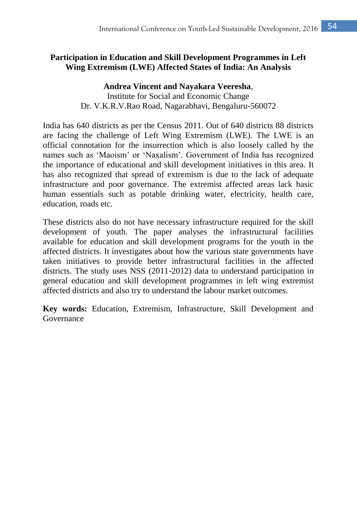# **Participation in Education and Skill Development Programmes in Left Wing Extremism (LWE) Affected States of India: An Analysis**

**Andrea Vincent and Nayakara Veeresha**, Institute for Social and Economic Change Dr. V.K.R.V.Rao Road, Nagarabhavi, Bengaluru-560072

India has 640 districts as per the Census 2011. Out of 640 districts 88 districts are facing the challenge of Left Wing Extremism (LWE). The LWE is an official connotation for the insurrection which is also loosely called by the names such as 'Maoism' or 'Naxalism'. Government of India has recognized the importance of educational and skill development initiatives in this area. It has also recognized that spread of extremism is due to the lack of adequate infrastructure and poor governance. The extremist affected areas lack basic human essentials such as potable drinking water, electricity, health care, education, roads etc.

These districts also do not have necessary infrastructure required for the skill development of youth. The paper analyses the infrastructural facilities available for education and skill development programs for the youth in the affected districts. It investigates about how the various state governments have taken initiatives to provide better infrastructural facilities in the affected districts. The study uses NSS (2011-2012) data to understand participation in general education and skill development programmes in left wing extremist affected districts and also try to understand the labour market outcomes.

**Key words:** Education, Extremism, Infrastructure, Skill Development and Governance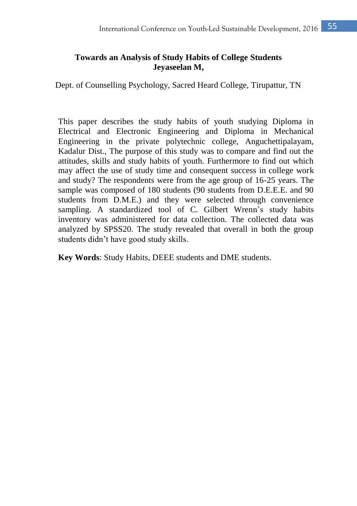# **Towards an Analysis of Study Habits of College Students Jeyaseelan M,**

Dept. of Counselling Psychology, Sacred Heard College, Tirupattur, TN

This paper describes the study habits of youth studying Diploma in Electrical and Electronic Engineering and Diploma in Mechanical Engineering in the private polytechnic college, Anguchettipalayam, Kadalur Dist., The purpose of this study was to compare and find out the attitudes, skills and study habits of youth. Furthermore to find out which may affect the use of study time and consequent success in college work and study? The respondents were from the age group of 16-25 years. The sample was composed of 180 students (90 students from D.E.E.E. and 90 students from D.M.E.) and they were selected through convenience sampling. A standardized tool of C. Gilbert Wrenn's study habits inventory was administered for data collection. The collected data was analyzed by SPSS20. The study revealed that overall in both the group students didn't have good study skills.

**Key Words**: Study Habits, DEEE students and DME students.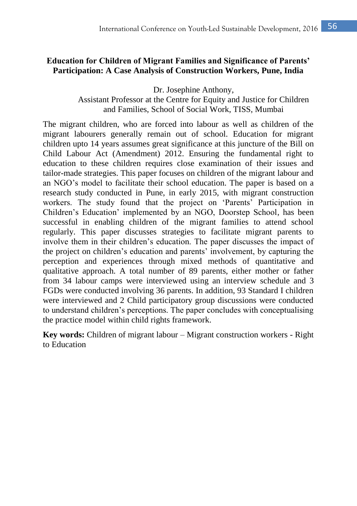#### **Education for Children of Migrant Families and Significance of Parents' Participation: A Case Analysis of Construction Workers, Pune, India**

Dr. Josephine Anthony,

Assistant Professor at the Centre for Equity and Justice for Children and Families, School of Social Work, TISS, Mumbai

The migrant children, who are forced into labour as well as children of the migrant labourers generally remain out of school. Education for migrant children upto 14 years assumes great significance at this juncture of the Bill on Child Labour Act (Amendment) 2012. Ensuring the fundamental right to education to these children requires close examination of their issues and tailor-made strategies. This paper focuses on children of the migrant labour and an NGO's model to facilitate their school education. The paper is based on a research study conducted in Pune, in early 2015, with migrant construction workers. The study found that the project on 'Parents' Participation in Children's Education' implemented by an NGO, Doorstep School, has been successful in enabling children of the migrant families to attend school regularly. This paper discusses strategies to facilitate migrant parents to involve them in their children's education. The paper discusses the impact of the project on children's education and parents' involvement, by capturing the perception and experiences through mixed methods of quantitative and qualitative approach. A total number of 89 parents, either mother or father from 34 labour camps were interviewed using an interview schedule and 3 FGDs were conducted involving 36 parents. In addition, 93 Standard I children were interviewed and 2 Child participatory group discussions were conducted to understand children's perceptions. The paper concludes with conceptualising the practice model within child rights framework.

**Key words:** Children of migrant labour – Migrant construction workers - Right to Education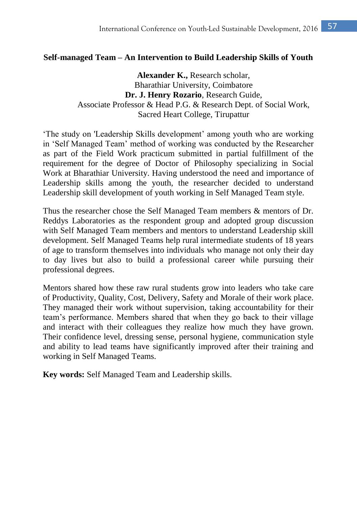#### **Self-managed Team – An Intervention to Build Leadership Skills of Youth**

**Alexander K.,** Research scholar, Bharathiar University, Coimbatore **Dr. J. Henry Rozario**, Research Guide, Associate Professor & Head P.G. & Research Dept. of Social Work, Sacred Heart College, Tirupattur

'The study on 'Leadership Skills development' among youth who are working in 'Self Managed Team' method of working was conducted by the Researcher as part of the Field Work practicum submitted in partial fulfillment of the requirement for the degree of Doctor of Philosophy specializing in Social Work at Bharathiar University. Having understood the need and importance of Leadership skills among the youth, the researcher decided to understand Leadership skill development of youth working in Self Managed Team style.

Thus the researcher chose the Self Managed Team members & mentors of Dr. Reddys Laboratories as the respondent group and adopted group discussion with Self Managed Team members and mentors to understand Leadership skill development. Self Managed Teams help rural intermediate students of 18 years of age to transform themselves into individuals who manage not only their day to day lives but also to build a professional career while pursuing their professional degrees.

Mentors shared how these raw rural students grow into leaders who take care of Productivity, Quality, Cost, Delivery, Safety and Morale of their work place. They managed their work without supervision, taking accountability for their team's performance. Members shared that when they go back to their village and interact with their colleagues they realize how much they have grown. Their confidence level, dressing sense, personal hygiene, communication style and ability to lead teams have significantly improved after their training and working in Self Managed Teams.

**Key words:** Self Managed Team and Leadership skills.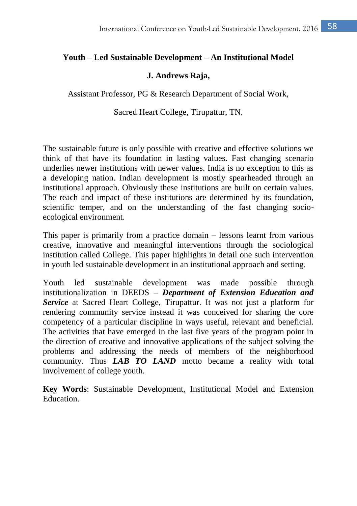#### **Youth – Led Sustainable Development – An Institutional Model**

#### **J. Andrews Raja,**

Assistant Professor, PG & Research Department of Social Work,

Sacred Heart College, Tirupattur, TN.

The sustainable future is only possible with creative and effective solutions we think of that have its foundation in lasting values. Fast changing scenario underlies newer institutions with newer values. India is no exception to this as a developing nation. Indian development is mostly spearheaded through an institutional approach. Obviously these institutions are built on certain values. The reach and impact of these institutions are determined by its foundation, scientific temper, and on the understanding of the fast changing socioecological environment.

This paper is primarily from a practice domain – lessons learnt from various creative, innovative and meaningful interventions through the sociological institution called College. This paper highlights in detail one such intervention in youth led sustainable development in an institutional approach and setting.

Youth led sustainable development was made possible through institutionalization in DEEDS – *Department of Extension Education and Service* at Sacred Heart College, Tirupattur. It was not just a platform for rendering community service instead it was conceived for sharing the core competency of a particular discipline in ways useful, relevant and beneficial. The activities that have emerged in the last five years of the program point in the direction of creative and innovative applications of the subject solving the problems and addressing the needs of members of the neighborhood community. Thus *LAB TO LAND* motto became a reality with total involvement of college youth.

**Key Words**: Sustainable Development, Institutional Model and Extension **Education**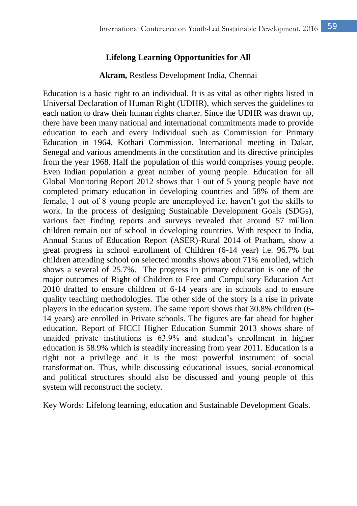### **Lifelong Learning Opportunities for All**

#### **Akram,** Restless Development India, Chennai

Education is a basic right to an individual. It is as vital as other rights listed in Universal Declaration of Human Right (UDHR), which serves the guidelines to each nation to draw their human rights charter. Since the UDHR was drawn up, there have been many national and international commitments made to provide education to each and every individual such as Commission for Primary Education in 1964, Kothari Commission, International meeting in Dakar, Senegal and various amendments in the constitution and its directive principles from the year 1968. Half the population of this world comprises young people. Even Indian population a great number of young people. Education for all Global Monitoring Report 2012 shows that 1 out of 5 young people have not completed primary education in developing countries and 58% of them are female, 1 out of 8 young people are unemployed i.e. haven't got the skills to work. In the process of designing Sustainable Development Goals (SDGs), various fact finding reports and surveys revealed that around 57 million children remain out of school in developing countries. With respect to India, Annual Status of Education Report (ASER)-Rural 2014 of Pratham, show a great progress in school enrollment of Children (6-14 year) i.e. 96.7% but children attending school on selected months shows about 71% enrolled, which shows a several of 25.7%. The progress in primary education is one of the major outcomes of Right of Children to Free and Compulsory Education Act 2010 drafted to ensure children of 6-14 years are in schools and to ensure quality teaching methodologies. The other side of the story is a rise in private players in the education system. The same report shows that 30.8% children (6- 14 years) are enrolled in Private schools. The figures are far ahead for higher education. Report of FICCI Higher Education Summit 2013 shows share of unaided private institutions is 63.9% and student's enrollment in higher education is 58.9% which is steadily increasing from year 2011. Education is a right not a privilege and it is the most powerful instrument of social transformation. Thus, while discussing educational issues, social-economical and political structures should also be discussed and young people of this system will reconstruct the society.

Key Words: Lifelong learning, education and Sustainable Development Goals.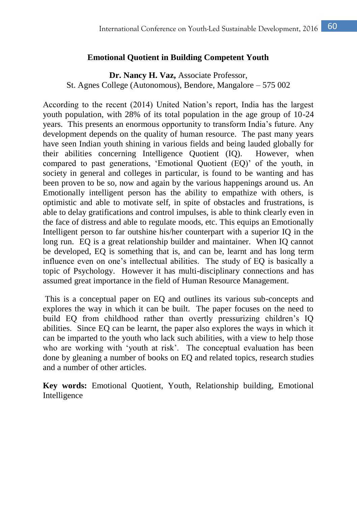#### **Emotional Quotient in Building Competent Youth**

**Dr. Nancy H. Vaz,** Associate Professor, St. Agnes College (Autonomous), Bendore, Mangalore – 575 002

According to the recent (2014) United Nation's report, India has the largest youth population, with 28% of its total population in the age group of 10-24 years. This presents an enormous opportunity to transform India's future. Any development depends on the quality of human resource. The past many years have seen Indian youth shining in various fields and being lauded globally for their abilities concerning Intelligence Quotient (IQ). However, when compared to past generations, 'Emotional Quotient (EQ)' of the youth, in society in general and colleges in particular, is found to be wanting and has been proven to be so, now and again by the various happenings around us. An Emotionally intelligent person has the ability to empathize with others, is optimistic and able to motivate self, in spite of obstacles and frustrations, is able to delay gratifications and control impulses, is able to think clearly even in the face of distress and able to regulate moods, etc. This equips an Emotionally Intelligent person to far outshine his/her counterpart with a superior IQ in the long run. EQ is a great relationship builder and maintainer. When IQ cannot be developed, EQ is something that is, and can be, learnt and has long term influence even on one's intellectual abilities. The study of EQ is basically a topic of Psychology. However it has multi-disciplinary connections and has assumed great importance in the field of Human Resource Management.

This is a conceptual paper on EQ and outlines its various sub-concepts and explores the way in which it can be built. The paper focuses on the need to build EQ from childhood rather than overtly pressurizing children's IQ abilities. Since EQ can be learnt, the paper also explores the ways in which it can be imparted to the youth who lack such abilities, with a view to help those who are working with 'youth at risk'. The conceptual evaluation has been done by gleaning a number of books on EQ and related topics, research studies and a number of other articles.

**Key words:** Emotional Quotient, Youth, Relationship building, Emotional Intelligence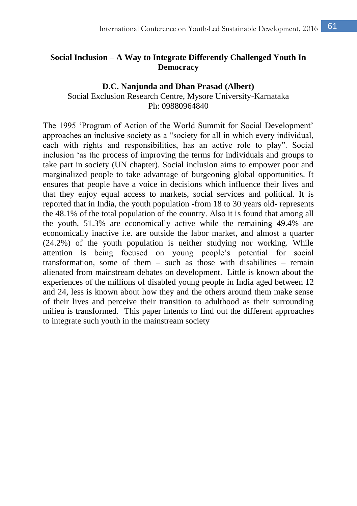# **Social Inclusion – [A Way to Integrate Differently Challenged Youth In](http://www.society30.com/social-inclusion-way-integrate-disabled-youth-democracy/)  [Democracy](http://www.society30.com/social-inclusion-way-integrate-disabled-youth-democracy/)**

#### **D.C. Nanjunda and Dhan Prasad (Albert)**

Social Exclusion Research Centre, Mysore University-Karnataka Ph: 09880964840

The 1995 'Program of Action of the World Summit for Social Development' approaches an inclusive society as a "society for all in which every individual, each with rights and responsibilities, has an active role to play". Social inclusion 'as the process of improving the terms for individuals and groups to take part in society (UN chapter). Social inclusion aims to empower poor and marginalized people to take advantage of burgeoning global opportunities. It ensures that people have a voice in decisions which influence their lives and that they enjoy equal access to markets, social services and political. It is reported that in India, the youth population -from 18 to 30 years old- represents the 48.1% of the total population of the country. Also it is found that among all the youth, 51.3% are economically active while the remaining 49.4% are economically inactive i.e. are outside the labor market, and almost a quarter (24.2%) of the youth population is neither studying nor working. While attention is being focused on young people's potential for social transformation, some of them  $-$  such as those with disabilities  $-$  remain alienated from mainstream debates on development. Little is known about the experiences of the millions of disabled young people in India aged between 12 and 24, less is known about how they and the others around them make sense of their lives and perceive their transition to adulthood as their surrounding milieu is transformed. This paper intends to find out the different approaches to integrate such youth in the mainstream society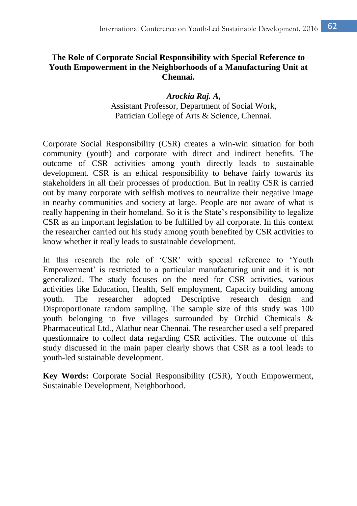# **The Role of Corporate Social Responsibility with Special Reference to Youth Empowerment in the Neighborhoods of a Manufacturing Unit at Chennai.**

*Arockia Raj. A,*  Assistant Professor, Department of Social Work, Patrician College of Arts & Science, Chennai.

Corporate Social Responsibility (CSR) creates a win-win situation for both community (youth) and corporate with direct and indirect benefits. The outcome of CSR activities among youth directly leads to sustainable development. CSR is an ethical responsibility to behave fairly towards its stakeholders in all their processes of production. But in reality CSR is carried out by many corporate with selfish motives to neutralize their negative image in nearby communities and society at large. People are not aware of what is really happening in their homeland. So it is the State's responsibility to legalize CSR as an important legislation to be fulfilled by all corporate. In this context the researcher carried out his study among youth benefited by CSR activities to know whether it really leads to sustainable development.

In this research the role of 'CSR' with special reference to 'Youth Empowerment' is restricted to a particular manufacturing unit and it is not generalized. The study focuses on the need for CSR activities, various activities like Education, Health, Self employment, Capacity building among youth. The researcher adopted Descriptive research design and Disproportionate random sampling. The sample size of this study was 100 youth belonging to five villages surrounded by Orchid Chemicals & Pharmaceutical Ltd., Alathur near Chennai. The researcher used a self prepared questionnaire to collect data regarding CSR activities. The outcome of this study discussed in the main paper clearly shows that CSR as a tool leads to youth-led sustainable development.

**Key Words:** Corporate Social Responsibility (CSR), Youth Empowerment, Sustainable Development, Neighborhood.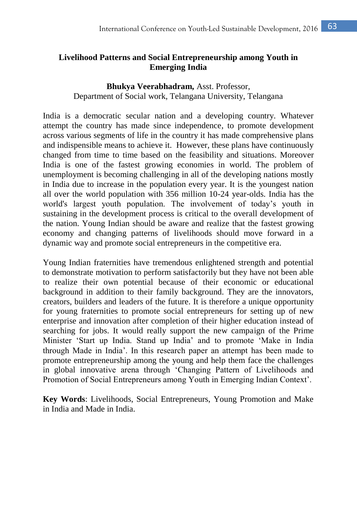# **Livelihood Patterns and Social Entrepreneurship among Youth in Emerging India**

#### **Bhukya Veerabhadram,** Asst. Professor, Department of Social work, Telangana University, Telangana

India is a democratic secular nation and a developing country. Whatever attempt the country has made since independence, to promote development across various segments of life in the country it has made comprehensive plans and indispensible means to achieve it. However, these plans have continuously changed from time to time based on the feasibility and situations. Moreover India is one of the fastest growing economies in world. The problem of unemployment is becoming challenging in all of the developing nations mostly in India due to increase in the population every year. It is the youngest nation all over the world population with 356 million 10-24 year-olds. India has the world's largest youth population. The involvement of today's youth in sustaining in the development process is critical to the overall development of the nation. Young Indian should be aware and realize that the fastest growing economy and changing patterns of livelihoods should move forward in a dynamic way and promote social entrepreneurs in the competitive era.

Young Indian fraternities have tremendous enlightened strength and potential to demonstrate motivation to perform satisfactorily but they have not been able to realize their own potential because of their economic or educational background in addition to their family background. They are the innovators, creators, builders and leaders of the future. It is therefore a unique opportunity for young fraternities to promote social entrepreneurs for setting up of new enterprise and innovation after completion of their higher education instead of searching for jobs. It would really support the new campaign of the Prime Minister 'Start up India. Stand up India' and to promote 'Make in India through Made in India'. In this research paper an attempt has been made to promote entrepreneurship among the young and help them face the challenges in global innovative arena through 'Changing Pattern of Livelihoods and Promotion of Social Entrepreneurs among Youth in Emerging Indian Context'.

**Key Words**: Livelihoods, Social Entrepreneurs, Young Promotion and Make in India and Made in India.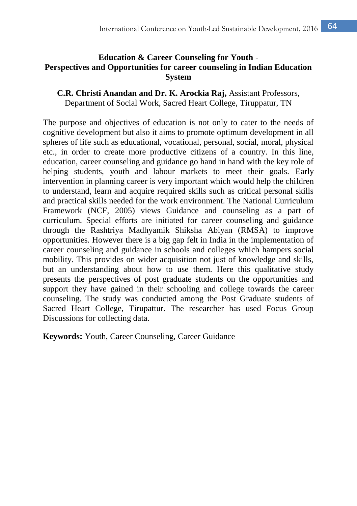### **Education & Career Counseling for Youth - Perspectives and Opportunities for career counseling in Indian Education System**

**C.R. Christi Anandan and Dr. K. Arockia Raj,** Assistant Professors, Department of Social Work, Sacred Heart College, Tiruppatur, TN

The purpose and objectives of education is not only to cater to the needs of cognitive development but also it aims to promote optimum development in all spheres of life such as educational, vocational, personal, social, moral, physical etc., in order to create more productive citizens of a country. In this line, education, career counseling and guidance go hand in hand with the key role of helping students, youth and labour markets to meet their goals. Early intervention in planning career is very important which would help the children to understand, learn and acquire required skills such as critical personal skills and practical skills needed for the work environment. The National Curriculum Framework (NCF, 2005) views Guidance and counseling as a part of curriculum. Special efforts are initiated for career counseling and guidance through the Rashtriya Madhyamik Shiksha Abiyan (RMSA) to improve opportunities. However there is a big gap felt in India in the implementation of career counseling and guidance in schools and colleges which hampers social mobility. This provides on wider acquisition not just of knowledge and skills, but an understanding about how to use them. Here this qualitative study presents the perspectives of post graduate students on the opportunities and support they have gained in their schooling and college towards the career counseling. The study was conducted among the Post Graduate students of Sacred Heart College, Tirupattur. The researcher has used Focus Group Discussions for collecting data.

**Keywords:** Youth, Career Counseling, Career Guidance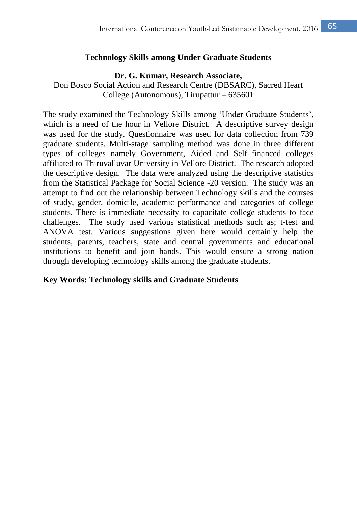#### **Technology Skills among Under Graduate Students**

#### **Dr. G. Kumar, Research Associate,**

Don Bosco Social Action and Research Centre (DBSARC), Sacred Heart College (Autonomous), Tirupattur – 635601

The study examined the Technology Skills among 'Under Graduate Students', which is a need of the hour in Vellore District. A descriptive survey design was used for the study. Questionnaire was used for data collection from 739 graduate students. Multi-stage sampling method was done in three different types of colleges namely Government, Aided and Self–financed colleges affiliated to Thiruvalluvar University in Vellore District. The research adopted the descriptive design. The data were analyzed using the descriptive statistics from the Statistical Package for Social Science -20 version. The study was an attempt to find out the relationship between Technology skills and the courses of study, gender, domicile, academic performance and categories of college students. There is immediate necessity to capacitate college students to face challenges. The study used various statistical methods such as; t-test and ANOVA test. Various suggestions given here would certainly help the students, parents, teachers, state and central governments and educational institutions to benefit and join hands. This would ensure a strong nation through developing technology skills among the graduate students.

#### **Key Words: Technology skills and Graduate Students**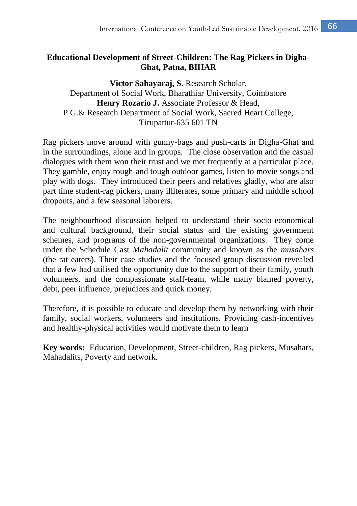# **Educational Development of Street-Children: The Rag Pickers in Digha-Ghat, Patna, BIHAR**

## **Victor Sahayaraj, S**. Research Scholar, Department of Social Work, Bharathiar University, Coimbatore Henry Rozario J. Associate Professor & Head, P.G.& Research Department of Social Work, Sacred Heart College, Tirupattur-635 601 TN

Rag pickers move around with gunny-bags and push-carts in Digha-Ghat and in the surroundings, alone and in groups. The close observation and the casual dialogues with them won their trust and we met frequently at a particular place. They gamble, enjoy rough-and tough outdoor games, listen to movie songs and play with dogs. They introduced their peers and relatives gladly, who are also part time student-rag pickers, many illiterates, some primary and middle school dropouts, and a few seasonal laborers.

The neighbourhood discussion helped to understand their socio-economical and cultural background, their social status and the existing government schemes, and programs of the non-governmental organizations. They come under the Schedule Cast *Mahadalit* community and known as the *musahars*  (the rat eaters). Their case studies and the focused group discussion revealed that a few had utilised the opportunity due to the support of their family, youth volunteers, and the compassionate staff-team, while many blamed poverty, debt, peer influence, prejudices and quick money.

Therefore, it is possible to educate and develop them by networking with their family, social workers, volunteers and institutions. Providing cash-incentives and healthy-physical activities would motivate them to learn

**Key words:** Education, Development, Street-children, Rag pickers, Musahars, Mahadalits, Poverty and network.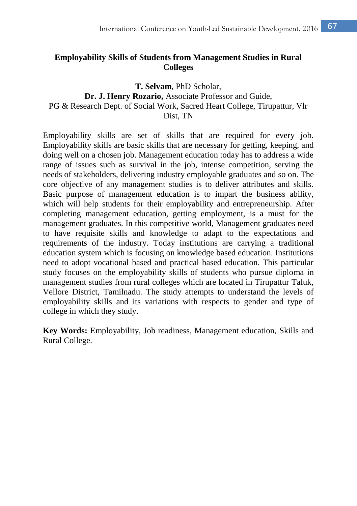# **Employability Skills of Students from Management Studies in Rural Colleges**

### **T. Selvam**, PhD Scholar, **Dr. J. Henry Rozario,** Associate Professor and Guide, PG & Research Dept. of Social Work, Sacred Heart College, Tirupattur, Vlr Dist, TN

Employability skills are set of skills that are required for every job. Employability skills are basic skills that are necessary for getting, keeping, and doing well on a chosen job. Management education today has to address a wide range of issues such as survival in the job, intense competition, serving the needs of stakeholders, delivering industry employable graduates and so on. The core objective of any management studies is to deliver attributes and skills. Basic purpose of management education is to impart the business ability, which will help students for their employability and entrepreneurship. After completing management education, getting employment, is a must for the management graduates. In this competitive world, Management graduates need to have requisite skills and knowledge to adapt to the expectations and requirements of the industry. Today institutions are carrying a traditional education system which is focusing on knowledge based education. Institutions need to adopt vocational based and practical based education. This particular study focuses on the employability skills of students who pursue diploma in management studies from rural colleges which are located in Tirupattur Taluk, Vellore District, Tamilnadu. The study attempts to understand the levels of employability skills and its variations with respects to gender and type of college in which they study.

**Key Words:** Employability, Job readiness, Management education, Skills and Rural College.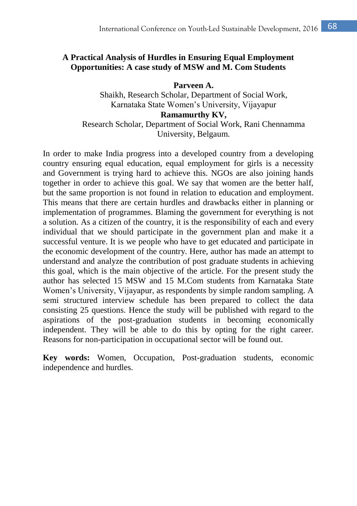### **A Practical Analysis of Hurdles in Ensuring Equal Employment Opportunities: A case study of MSW and M. Com Students**

**Parveen A.** Shaikh, Research Scholar, Department of Social Work, Karnataka State Women's University, Vijayapur **Ramamurthy KV,** Research Scholar, Department of Social Work, Rani Chennamma University, Belgaum.

In order to make India progress into a developed country from a developing country ensuring equal education, equal employment for girls is a necessity and Government is trying hard to achieve this. NGOs are also joining hands together in order to achieve this goal. We say that women are the better half, but the same proportion is not found in relation to education and employment. This means that there are certain hurdles and drawbacks either in planning or implementation of programmes. Blaming the government for everything is not a solution. As a citizen of the country, it is the responsibility of each and every individual that we should participate in the government plan and make it a successful venture. It is we people who have to get educated and participate in the economic development of the country. Here, author has made an attempt to understand and analyze the contribution of post graduate students in achieving this goal, which is the main objective of the article. For the present study the author has selected 15 MSW and 15 M.Com students from Karnataka State Women's University, Vijayapur, as respondents by simple random sampling. A semi structured interview schedule has been prepared to collect the data consisting 25 questions. Hence the study will be published with regard to the aspirations of the post-graduation students in becoming economically independent. They will be able to do this by opting for the right career. Reasons for non-participation in occupational sector will be found out.

**Key words:** Women, Occupation, Post-graduation students, economic independence and hurdles.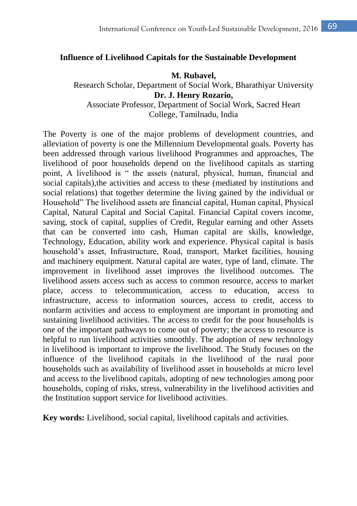#### **Influence of Livelihood Capitals for the Sustainable Development**

#### **M. Rubavel,**

Research Scholar, Department of Social Work, Bharathiyar University **Dr. J. Henry Rozario,** Associate Professor, Department of Social Work, Sacred Heart

College, Tamilnadu, India

The Poverty is one of the major problems of development countries, and alleviation of poverty is one the Millennium Developmental goals. Poverty has been addressed through various livelihood Programmes and approaches, The livelihood of poor households depend on the livelihood capitals as starting point, A livelihood is " the assets (natural, physical, human, financial and social capitals),the activities and access to these (mediated by institutions and social relations) that together determine the living gained by the individual or Household" The livelihood assets are financial capital, Human capital, Physical Capital, Natural Capital and Social Capital. Financial Capital covers income, saving, stock of capital, supplies of Credit, Regular earning and other Assets that can be converted into cash, Human capital are skills, knowledge, Technology, Education, ability work and experience. Physical capital is basis household's asset, Infrastructure, Road, transport, Market facilities, housing and machinery equipment. Natural capital are water, type of land, climate. The improvement in livelihood asset improves the livelihood outcomes. The livelihood assets access such as access to common resource, access to market place, access to telecommunication, access to education, access to infrastructure, access to information sources, access to credit, access to nonfarm activities and access to employment are important in promoting and sustaining livelihood activities. The access to credit for the poor households is one of the important pathways to come out of poverty; the access to resource is helpful to run livelihood activities smoothly. The adoption of new technology in livelihood is important to improve the livelihood. The Study focuses on the influence of the livelihood capitals in the livelihood of the rural poor households such as availability of livelihood asset in households at micro level and access to the livelihood capitals, adopting of new technologies among poor households, coping of risks, stress, vulnerability in the livelihood activities and the Institution support service for livelihood activities.

**Key words:** Livelihood, social capital, livelihood capitals and activities.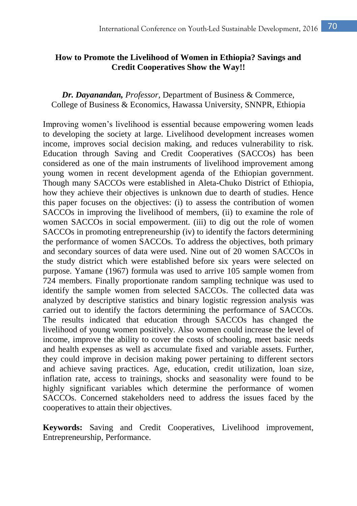### **How to Promote the Livelihood of Women in Ethiopia? Savings and Credit Cooperatives Show the Way!!**

*Dr. Dayanandan, Professor,* Department of Business & Commerce, College of Business & Economics, Hawassa University, SNNPR, Ethiopia

Improving women's livelihood is essential because empowering women leads to developing the society at large. Livelihood development increases women income, improves social decision making, and reduces vulnerability to risk. Education through Saving and Credit Cooperatives (SACCOs) has been considered as one of the main instruments of livelihood improvement among young women in recent development agenda of the Ethiopian government. Though many SACCOs were established in Aleta-Chuko District of Ethiopia, how they achieve their objectives is unknown due to dearth of studies. Hence this paper focuses on the objectives: (i) to assess the contribution of women SACCOs in improving the livelihood of members, (ii) to examine the role of women SACCOs in social empowerment. (iii) to dig out the role of women SACCOs in promoting entrepreneurship (iv) to identify the factors determining the performance of women SACCOs. To address the objectives, both primary and secondary sources of data were used. Nine out of 20 women SACCOs in the study district which were established before six years were selected on purpose. Yamane (1967) formula was used to arrive 105 sample women from 724 members. Finally proportionate random sampling technique was used to identify the sample women from selected SACCOs. The collected data was analyzed by descriptive statistics and binary logistic regression analysis was carried out to identify the factors determining the performance of SACCOs. The results indicated that education through SACCOs has changed the livelihood of young women positively. Also women could increase the level of income, improve the ability to cover the costs of schooling, meet basic needs and health expenses as well as accumulate fixed and variable assets. Further, they could improve in decision making power pertaining to different sectors and achieve saving practices. Age, education, credit utilization, loan size, inflation rate, access to trainings, shocks and seasonality were found to be highly significant variables which determine the performance of women SACCOs. Concerned stakeholders need to address the issues faced by the cooperatives to attain their objectives.

**Keywords:** Saving and Credit Cooperatives, Livelihood improvement, Entrepreneurship, Performance.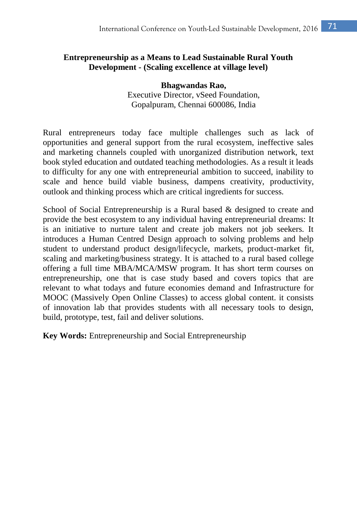# **Entrepreneurship as a Means to Lead Sustainable Rural Youth Development - (Scaling excellence at village level)**

**Bhagwandas Rao,** Executive Director, vSeed Foundation, Gopalpuram, Chennai 600086, India

Rural entrepreneurs today face multiple challenges such as lack of opportunities and general support from the rural ecosystem, ineffective sales and marketing channels coupled with unorganized distribution network, text book styled education and outdated teaching methodologies. As a result it leads to difficulty for any one with entrepreneurial ambition to succeed, inability to scale and hence build viable business, dampens creativity, productivity, outlook and thinking process which are critical ingredients for success.

School of Social Entrepreneurship is a Rural based & designed to create and provide the best ecosystem to any individual having entrepreneurial dreams: It is an initiative to nurture talent and create job makers not job seekers. It introduces a Human Centred Design approach to solving problems and help student to understand product design/lifecycle, markets, product-market fit, scaling and marketing/business strategy. It is attached to a rural based college offering a full time MBA/MCA/MSW program. It has short term courses on entrepreneurship, one that is case study based and covers topics that are relevant to what todays and future economies demand and Infrastructure for MOOC (Massively Open Online Classes) to access global content. it consists of innovation lab that provides students with all necessary tools to design, build, prototype, test, fail and deliver solutions.

**Key Words:** Entrepreneurship and Social Entrepreneurship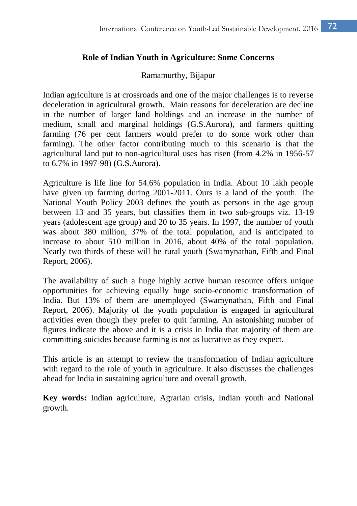## **Role of Indian Youth in Agriculture: Some Concerns**

### Ramamurthy, Bijapur

Indian agriculture is at crossroads and one of the major challenges is to reverse deceleration in agricultural growth. Main reasons for deceleration are decline in the number of larger land holdings and an increase in the number of medium, small and marginal holdings (G.S.Aurora), and farmers quitting farming (76 per cent farmers would prefer to do some work other than farming). The other factor contributing much to this scenario is that the agricultural land put to non-agricultural uses has risen (from 4.2% in 1956-57 to 6.7% in 1997-98) (G.S.Aurora).

Agriculture is life line for 54.6% population in India. About 10 lakh people have given up farming during 2001-2011. Ours is a land of the youth. The National Youth Policy 2003 defines the youth as persons in the age group between 13 and 35 years, but classifies them in two sub-groups viz. 13-19 years (adolescent age group) and 20 to 35 years. In 1997, the number of youth was about 380 million, 37% of the total population, and is anticipated to increase to about 510 million in 2016, about 40% of the total population. Nearly two-thirds of these will be rural youth (Swamynathan, Fifth and Final Report, 2006).

The availability of such a huge highly active human resource offers unique opportunities for achieving equally huge socio-economic transformation of India. But 13% of them are unemployed (Swamynathan, Fifth and Final Report, 2006). Majority of the youth population is engaged in agricultural activities even though they prefer to quit farming. An astonishing number of figures indicate the above and it is a crisis in India that majority of them are committing suicides because farming is not as lucrative as they expect.

This article is an attempt to review the transformation of Indian agriculture with regard to the role of youth in agriculture. It also discusses the challenges ahead for India in sustaining agriculture and overall growth.

**Key words:** Indian agriculture, Agrarian crisis, Indian youth and National growth.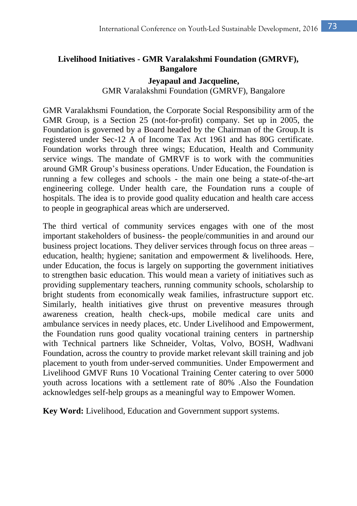# **Livelihood Initiatives - GMR Varalakshmi Foundation (GMRVF), Bangalore**

#### **Jeyapaul and Jacqueline,**

## GMR Varalakshmi Foundation (GMRVF), Bangalore

GMR Varalakhsmi Foundation, the Corporate Social Responsibility arm of the GMR Group, is a Section 25 (not-for-profit) company. Set up in 2005, the Foundation is governed by a Board headed by the Chairman of the Group.It is registered under Sec-12 A of Income Tax Act 1961 and has 80G certificate. Foundation works through three wings; Education, Health and Community service wings. The mandate of GMRVF is to work with the communities around GMR Group's business operations. Under Education, the Foundation is running a few colleges and schools - the main one being a state-of-the-art engineering college. Under health care, the Foundation runs a couple of hospitals. The idea is to provide good quality education and health care access to people in geographical areas which are underserved.

The third vertical of community services engages with one of the most important stakeholders of business- the people/communities in and around our business project locations. They deliver services through focus on three areas – education, health; hygiene; sanitation and empowerment & livelihoods. Here, under Education, the focus is largely on supporting the government initiatives to strengthen basic education. This would mean a variety of initiatives such as providing supplementary teachers, running community schools, scholarship to bright students from economically weak families, infrastructure support etc. Similarly, health initiatives give thrust on preventive measures through awareness creation, health check-ups, mobile medical care units and ambulance services in needy places, etc. Under Livelihood and Empowerment, the Foundation runs good quality vocational training centers in partnership with Technical partners like Schneider, Voltas, Volvo, BOSH, Wadhvani Foundation, across the country to provide market relevant skill training and job placement to youth from under-served communities. Under Empowerment and Livelihood GMVF Runs 10 Vocational Training Center catering to over 5000 youth across locations with a settlement rate of 80% .Also the Foundation acknowledges self-help groups as a meaningful way to Empower Women.

**Key Word:** Livelihood, Education and Government support systems.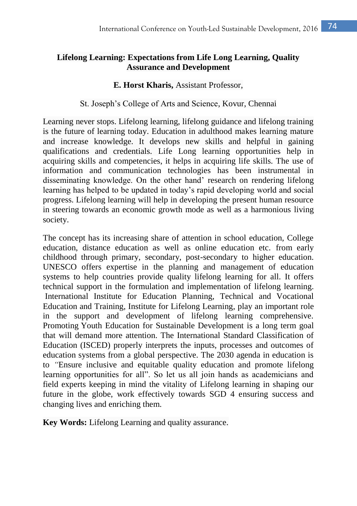# **Lifelong Learning: Expectations from Life Long Learning, Quality Assurance and Development**

#### **E. Horst Kharis,** Assistant Professor,

#### St. Joseph's College of Arts and Science, Kovur, Chennai

Learning never stops. Lifelong learning, lifelong guidance and lifelong training is the future of learning today. Education in adulthood makes learning mature and increase knowledge. It develops new skills and helpful in gaining qualifications and credentials. Life Long learning opportunities help in acquiring skills and competencies, it helps in acquiring life skills. The use of information and communication technologies has been instrumental in disseminating knowledge. On the other hand' research on rendering lifelong learning has helped to be updated in today's rapid developing world and social progress. Lifelong learning will help in developing the present human resource in steering towards an economic growth mode as well as a harmonious living society.

The concept has its increasing share of attention in school education, College education, distance education as well as online education etc. from early childhood through primary, secondary, post-secondary to higher education. UNESCO offers expertise in the planning and management of education systems to help countries provide quality lifelong learning for all. It offers technical support in the formulation and implementation of lifelong learning. International Institute for Education Planning, Technical and Vocational Education and Training, Institute for Lifelong Learning, play an important role in the support and development of lifelong learning comprehensive. Promoting Youth Education for Sustainable Development is a long term goal that will demand more attention. The International Standard Classification of Education (ISCED) properly interprets the inputs, processes and outcomes of education systems from a global perspective. The 2030 agenda in education is to *"*Ensure inclusive and equitable quality education and promote lifelong learning opportunities for all". So let us all join hands as academicians and field experts keeping in mind the vitality of Lifelong learning in shaping our future in the globe, work effectively towards SGD 4 ensuring success and changing lives and enriching them.

**Key Words:** Lifelong Learning and quality assurance.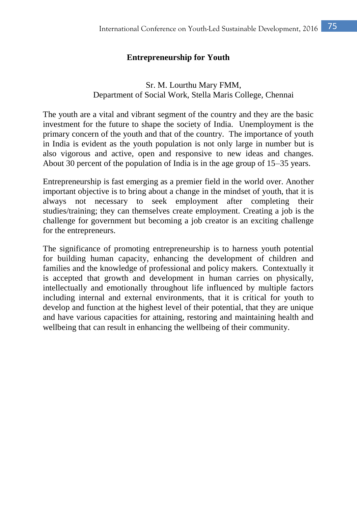## **Entrepreneurship for Youth**

# Sr. M. Lourthu Mary FMM, Department of Social Work, Stella Maris College, Chennai

The youth are a vital and vibrant segment of the country and they are the basic investment for the future to shape the society of India. Unemployment is the primary concern of the youth and that of the country. The importance of youth in India is evident as the youth population is not only large in number but is also vigorous and active, open and responsive to new ideas and changes. About 30 percent of the population of India is in the age group of 15–35 years.

Entrepreneurship is fast emerging as a premier field in the world over. Another important objective is to bring about a change in the mindset of youth, that it is always not necessary to seek employment after completing their studies/training; they can themselves create employment. Creating a job is the challenge for government but becoming a job creator is an exciting challenge for the entrepreneurs.

The significance of promoting entrepreneurship is to harness youth potential for building human capacity, enhancing the development of children and families and the knowledge of professional and policy makers. Contextually it is accepted that growth and development in human carries on physically, intellectually and emotionally throughout life influenced by multiple factors including internal and external environments, that it is critical for youth to develop and function at the highest level of their potential, that they are unique and have various capacities for attaining, restoring and maintaining health and wellbeing that can result in enhancing the wellbeing of their community.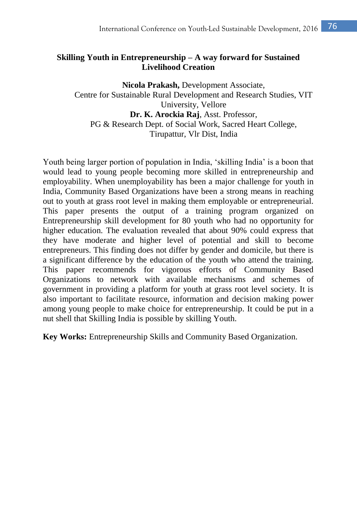# **Skilling Youth in Entrepreneurship – A way forward for Sustained Livelihood Creation**

**Nicola Prakash,** Development Associate, Centre for Sustainable Rural Development and Research Studies, VIT University, Vellore **Dr. K. Arockia Raj**, Asst. Professor, PG & Research Dept. of Social Work, Sacred Heart College, Tirupattur, Vlr Dist, India

Youth being larger portion of population in India, 'skilling India' is a boon that would lead to young people becoming more skilled in entrepreneurship and employability. When unemployability has been a major challenge for youth in India, Community Based Organizations have been a strong means in reaching out to youth at grass root level in making them employable or entrepreneurial. This paper presents the output of a training program organized on Entrepreneurship skill development for 80 youth who had no opportunity for higher education. The evaluation revealed that about 90% could express that they have moderate and higher level of potential and skill to become entrepreneurs. This finding does not differ by gender and domicile, but there is a significant difference by the education of the youth who attend the training. This paper recommends for vigorous efforts of Community Based Organizations to network with available mechanisms and schemes of government in providing a platform for youth at grass root level society. It is also important to facilitate resource, information and decision making power among young people to make choice for entrepreneurship. It could be put in a nut shell that Skilling India is possible by skilling Youth.

**Key Works:** Entrepreneurship Skills and Community Based Organization.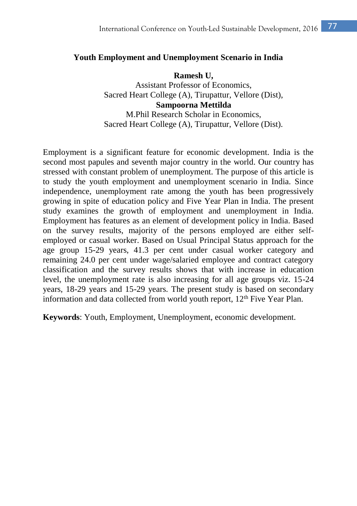#### **Youth Employment and Unemployment Scenario in India**

**Ramesh U,** Assistant Professor of Economics, Sacred Heart College (A), Tirupattur, Vellore (Dist), **Sampoorna Mettilda** M.Phil Research Scholar in Economics, Sacred Heart College (A), Tirupattur, Vellore (Dist).

Employment is a significant feature for economic development. India is the second most papules and seventh major country in the world. Our country has stressed with constant problem of unemployment. The purpose of this article is to study the youth employment and unemployment scenario in India. Since independence, unemployment rate among the youth has been progressively growing in spite of education policy and Five Year Plan in India. The present study examines the growth of employment and unemployment in India. Employment has features as an element of development policy in India. Based on the survey results, majority of the persons employed are either selfemployed or casual worker. Based on Usual Principal Status approach for the age group 15-29 years, 41.3 per cent under casual worker category and remaining 24.0 per cent under wage/salaried employee and contract category classification and the survey results shows that with increase in education level, the unemployment rate is also increasing for all age groups viz. 15-24 years, 18-29 years and 15-29 years. The present study is based on secondary information and data collected from world youth report, 12<sup>th</sup> Five Year Plan.

**Keywords**: Youth, Employment, Unemployment, economic development.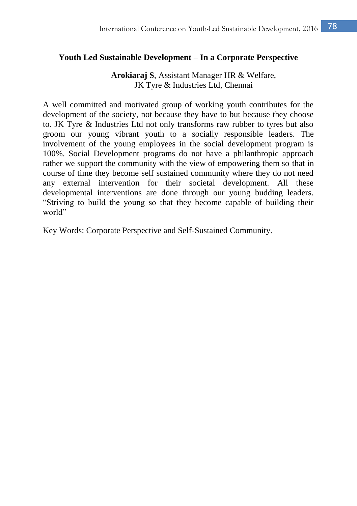## **Youth Led Sustainable Development – In a Corporate Perspective**

**Arokiaraj S**, Assistant Manager HR & Welfare, JK Tyre & Industries Ltd, Chennai

A well committed and motivated group of working youth contributes for the development of the society, not because they have to but because they choose to. JK Tyre & Industries Ltd not only transforms raw rubber to tyres but also groom our young vibrant youth to a socially responsible leaders. The involvement of the young employees in the social development program is 100%. Social Development programs do not have a philanthropic approach rather we support the community with the view of empowering them so that in course of time they become self sustained community where they do not need any external intervention for their societal development. All these developmental interventions are done through our young budding leaders. "Striving to build the young so that they become capable of building their world"

Key Words: Corporate Perspective and Self-Sustained Community.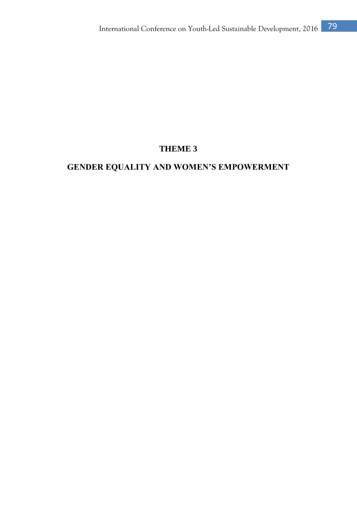# **THEME 3**

# **GENDER EQUALITY AND WOMEN'S EMPOWERMENT**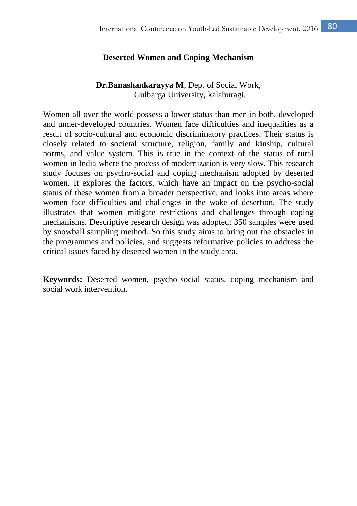## **Deserted Women and Coping Mechanism**

## **Dr.Banashankarayya M**, Dept of Social Work, Gulbarga University, kalaburagi.

Women all over the world possess a lower status than men in both, developed and under-developed countries. Women face difficulties and inequalities as a result of socio-cultural and economic discriminatory practices. Their status is closely related to societal structure, religion, family and kinship, cultural norms, and value system. This is true in the context of the status of rural women in India where the process of modernization is very slow. This research study focuses on psycho-social and coping mechanism adopted by deserted women. It explores the factors, which have an impact on the psycho-social status of these women from a broader perspective, and looks into areas where women face difficulties and challenges in the wake of desertion. The study illustrates that women mitigate restrictions and challenges through coping mechanisms. Descriptive research design was adopted; 350 samples were used by snowball sampling method. So this study aims to bring out the obstacles in the programmes and policies, and suggests reformative policies to address the critical issues faced by deserted women in the study area.

**Keywords:** Deserted women, psycho-social status, coping mechanism and social work intervention.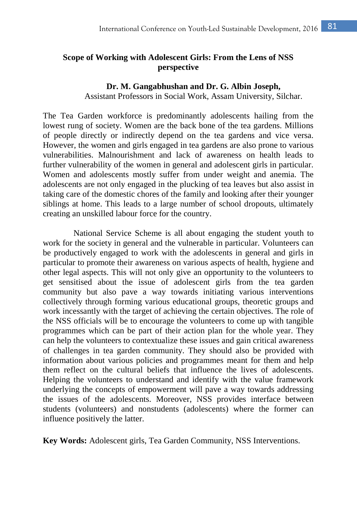# **Scope of Working with Adolescent Girls: From the Lens of NSS perspective**

#### **Dr. M. Gangabhushan and Dr. G. Albin Joseph,**

Assistant Professors in Social Work, Assam University, Silchar.

The Tea Garden workforce is predominantly adolescents hailing from the lowest rung of society. Women are the back bone of the tea gardens. Millions of people directly or indirectly depend on the tea gardens and vice versa. However, the women and girls engaged in tea gardens are also prone to various vulnerabilities. Malnourishment and lack of awareness on health leads to further vulnerability of the women in general and adolescent girls in particular. Women and adolescents mostly suffer from under weight and anemia. The adolescents are not only engaged in the plucking of tea leaves but also assist in taking care of the domestic chores of the family and looking after their younger siblings at home. This leads to a large number of school dropouts, ultimately creating an unskilled labour force for the country.

National Service Scheme is all about engaging the student youth to work for the society in general and the vulnerable in particular. Volunteers can be productively engaged to work with the adolescents in general and girls in particular to promote their awareness on various aspects of health, hygiene and other legal aspects. This will not only give an opportunity to the volunteers to get sensitised about the issue of adolescent girls from the tea garden community but also pave a way towards initiating various interventions collectively through forming various educational groups, theoretic groups and work incessantly with the target of achieving the certain objectives. The role of the NSS officials will be to encourage the volunteers to come up with tangible programmes which can be part of their action plan for the whole year. They can help the volunteers to contextualize these issues and gain critical awareness of challenges in tea garden community. They should also be provided with information about various policies and programmes meant for them and help them reflect on the cultural beliefs that influence the lives of adolescents. Helping the volunteers to understand and identify with the value framework underlying the concepts of empowerment will pave a way towards addressing the issues of the adolescents. Moreover, NSS provides interface between students (volunteers) and nonstudents (adolescents) where the former can influence positively the latter.

**Key Words:** Adolescent girls, Tea Garden Community, NSS Interventions.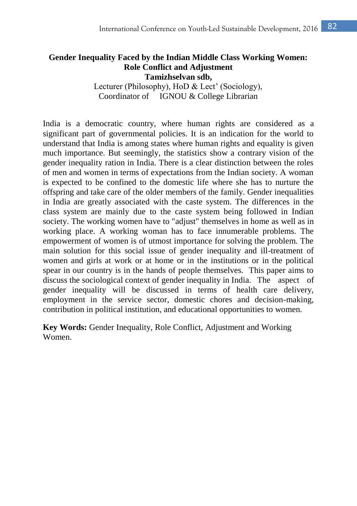#### **Gender Inequality Faced by the Indian Middle Class Working Women: Role Conflict and Adjustment Tamizhselvan sdb,**

Lecturer (Philosophy), HoD & Lect' (Sociology), Coordinator of IGNOU & College Librarian

India is a democratic country, where human rights are considered as a significant part of governmental policies. It is an indication for the world to understand that India is among states where human rights and equality is given much importance. But seemingly, the statistics show a contrary vision of the gender inequality ration in India. There is a clear distinction between the roles of men and women in terms of expectations from the Indian society. A woman is expected to be confined to the domestic life where she has to nurture the offspring and take care of the older members of the family. Gender inequalities in India are greatly associated with the caste system. The differences in the class system are mainly due to the caste system being followed in Indian society. The working women have to "adjust" themselves in home as well as in working place. A working woman has to face innumerable problems. The empowerment of women is of utmost importance for solving the problem. The main solution for this social issue of gender inequality and ill-treatment of women and girls at work or at home or in the institutions or in the political spear in our country is in the hands of people themselves. This paper aims to discuss the sociological context of gender inequality in India. The aspect of gender inequality will be discussed in terms of health care delivery, employment in the service sector, domestic chores and decision-making, contribution in political institution, and educational opportunities to women.

**Key Words:** Gender Inequality, Role Conflict, Adjustment and Working Women.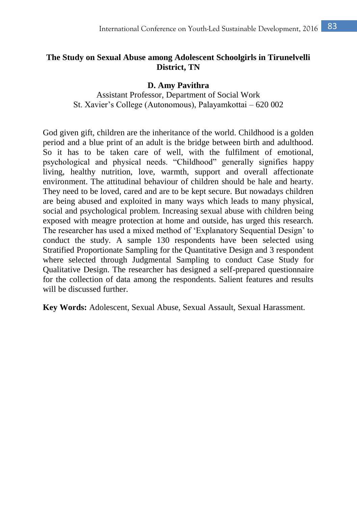# **The Study on Sexual Abuse among Adolescent Schoolgirls in Tirunelvelli District, TN**

#### **D. Amy Pavithra**

Assistant Professor, Department of Social Work St. Xavier's College (Autonomous), Palayamkottai – 620 002

God given gift, children are the inheritance of the world. Childhood is a golden period and a blue print of an adult is the bridge between birth and adulthood. So it has to be taken care of well, with the fulfilment of emotional, psychological and physical needs. "Childhood" generally signifies happy living, healthy nutrition, love, warmth, support and overall affectionate environment. The attitudinal behaviour of children should be hale and hearty. They need to be loved, cared and are to be kept secure. But nowadays children are being abused and exploited in many ways which leads to many physical, social and psychological problem. Increasing sexual abuse with children being exposed with meagre protection at home and outside, has urged this research. The researcher has used a mixed method of 'Explanatory Sequential Design' to conduct the study. A sample 130 respondents have been selected using Stratified Proportionate Sampling for the Quantitative Design and 3 respondent where selected through Judgmental Sampling to conduct Case Study for Qualitative Design. The researcher has designed a self-prepared questionnaire for the collection of data among the respondents. Salient features and results will be discussed further.

**Key Words:** Adolescent, Sexual Abuse, Sexual Assault, Sexual Harassment.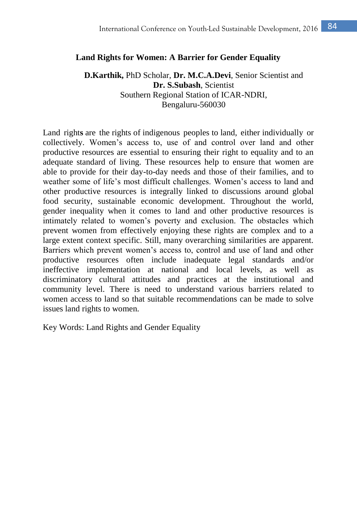#### **Land Rights for Women: A Barrier for Gender Equality**

## **D.Karthik,** PhD Scholar, **Dr. M.C.A.Devi**, Senior Scientist and **Dr. S.Subash**, Scientist Southern Regional Station of ICAR-NDRI, Bengaluru-560030

Land right**s** are the [rights](http://en.wikipedia.org/wiki/Right) of [indigenous peoples](http://en.wikipedia.org/wiki/Indigenous_peoples) to [land,](http://en.wikipedia.org/wiki/Land_law) either [individually or](http://en.wikipedia.org/wiki/Individual_and_collective_rights)  [collectively.](http://en.wikipedia.org/wiki/Individual_and_collective_rights) Women's access to, use of and control over land and other productive resources are essential to ensuring their right to equality and to an adequate standard of living. These resources help to ensure that women are able to provide for their day-to-day needs and those of their families, and to weather some of life's most difficult challenges. Women's access to land and other productive resources is integrally linked to discussions around global food security, sustainable economic development. Throughout the world, gender inequality when it comes to land and other productive resources is intimately related to women's poverty and exclusion. The obstacles which prevent women from effectively enjoying these rights are complex and to a large extent context specific. Still, many overarching similarities are apparent. Barriers which prevent women's access to, control and use of land and other productive resources often include inadequate legal standards and/or ineffective implementation at national and local levels, as well as discriminatory cultural attitudes and practices at the institutional and community level. There is need to understand various barriers related to women access to land so that suitable recommendations can be made to solve issues land rights to women.

Key Words: Land Rights and Gender Equality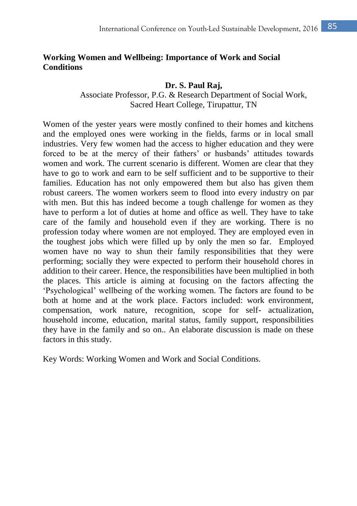# **Working Women and Wellbeing: Importance of Work and Social Conditions**

#### **Dr. S. Paul Raj,**

Associate Professor, P.G. & Research Department of Social Work, Sacred Heart College, Tirupattur, TN

Women of the yester years were mostly confined to their homes and kitchens and the employed ones were working in the fields, farms or in local small industries. Very few women had the access to higher education and they were forced to be at the mercy of their fathers' or husbands' attitudes towards women and work. The current scenario is different. Women are clear that they have to go to work and earn to be self sufficient and to be supportive to their families. Education has not only empowered them but also has given them robust careers. The women workers seem to flood into every industry on par with men. But this has indeed become a tough challenge for women as they have to perform a lot of duties at home and office as well. They have to take care of the family and household even if they are working. There is no profession today where women are not employed. They are employed even in the toughest jobs which were filled up by only the men so far. Employed women have no way to shun their family responsibilities that they were performing; socially they were expected to perform their household chores in addition to their career. Hence, the responsibilities have been multiplied in both the places. This article is aiming at focusing on the factors affecting the 'Psychological' wellbeing of the working women. The factors are found to be both at home and at the work place. Factors included: work environment, compensation, work nature, recognition, scope for self- actualization, household income, education, marital status, family support, responsibilities they have in the family and so on.. An elaborate discussion is made on these factors in this study.

Key Words: Working Women and Work and Social Conditions.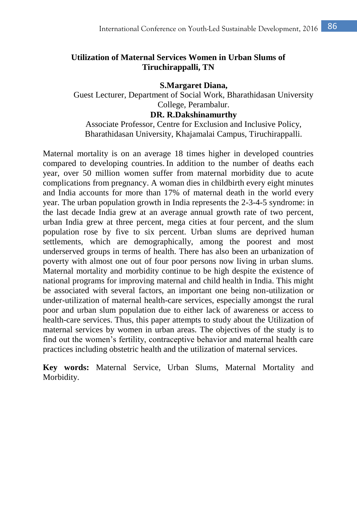# **Utilization of Maternal Services Women in Urban Slums of Tiruchirappalli, TN**

**S.Margaret Diana,** Guest Lecturer, Department of Social Work, Bharathidasan University College, Perambalur.

**DR. R.Dakshinamurthy**

Associate Professor, Centre for Exclusion and Inclusive Policy, Bharathidasan University, Khajamalai Campus, Tiruchirappalli.

Maternal mortality is on an average 18 times higher in developed countries compared to developing countries. In addition to the number of deaths each year, over 50 million women suffer from maternal morbidity due to acute complications from pregnancy. A woman dies in childbirth every eight minutes and India accounts for more than 17% of maternal death in the world every year. The urban population growth in India represents the 2-3-4-5 syndrome: in the last decade India grew at an average annual growth rate of two percent, urban India grew at three percent, mega cities at four percent, and the slum population rose by five to six percent. Urban slums are deprived human settlements, which are demographically, among the poorest and most underserved groups in terms of health. There has also been an urbanization of poverty with almost one out of four poor persons now living in urban slums. Maternal mortality and morbidity continue to be high despite the existence of national programs for improving maternal and child health in India. This might be associated with several factors, an important one being non-utilization or under-utilization of maternal health-care services, especially amongst the rural poor and urban slum population due to either lack of awareness or access to health-care services. Thus, this paper attempts to study about the Utilization of maternal services by women in urban areas. The objectives of the study is to find out the women's fertility, contraceptive behavior and maternal health care practices including obstetric health and the utilization of maternal services.

**Key words:** Maternal Service, Urban Slums, Maternal Mortality and Morbidity.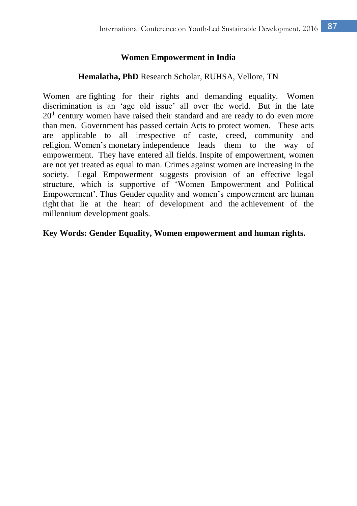## **Women Empowerment in India**

## **Hemalatha, PhD** Research Scholar, RUHSA, Vellore, TN

Women are fighting for their rights and demanding equality. Women discrimination is an 'age old issue' all over the world. But in the late  $20<sup>th</sup>$  century women have raised their standard and are ready to do even more than men. Government has passed certain Acts to protect women. These acts are applicable to all irrespective of caste, creed, community and religion. Women's monetary independence leads them to the way of empowerment. They have entered all fields. Inspite of empowerment, women are not yet treated as equal to man. Crimes against women are increasing in the society. Legal Empowerment suggests provision of an effective legal structure, which is supportive of 'Women Empowerment and Political Empowerment'. Thus Gender equality and women's empowerment are human right that lie at the heart of development and the achievement of the millennium development goals.

## **Key Words: Gender Equality, Women empowerment and human rights.**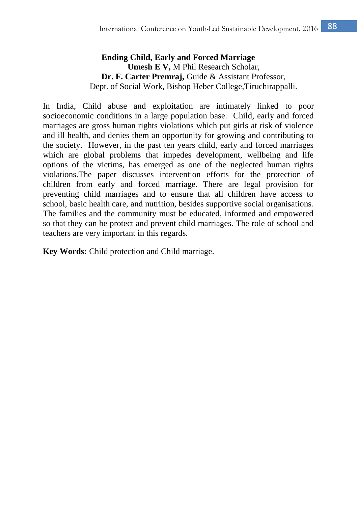# **Ending Child, Early and Forced Marriage Umesh E V,** M Phil Research Scholar, **Dr. F. Carter Premraj,** Guide & Assistant Professor, Dept. of Social Work, Bishop Heber College,Tiruchirappalli.

In India, Child abuse and exploitation are intimately linked to poor socioeconomic conditions in a large population base. Child, early and forced marriages are gross human rights violations which put girls at risk of violence and ill health, and denies them an opportunity for growing and contributing to the society. However, in the past ten years child, early and forced marriages which are global problems that impedes development, wellbeing and life options of the victims, has emerged as one of the neglected human rights violations.The paper discusses intervention efforts for the protection of children from early and forced marriage. There are legal provision for preventing child marriages and to ensure that all children have access to school, basic health care, and nutrition, besides supportive social organisations. The families and the community must be educated, informed and empowered so that they can be protect and prevent child marriages. The role of school and teachers are very important in this regards.

**Key Words:** Child protection and Child marriage.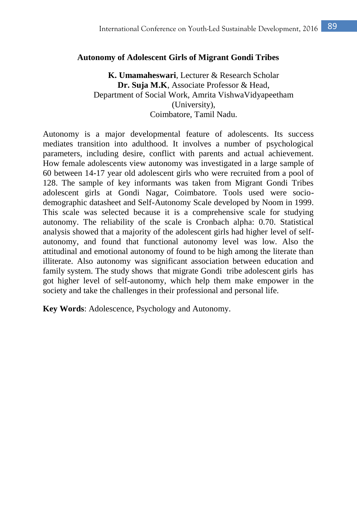#### **Autonomy of Adolescent Girls of Migrant Gondi Tribes**

**K. Umamaheswari**, Lecturer & Research Scholar **Dr. Suja M.K**, Associate Professor & Head, Department of Social Work, Amrita VishwaVidyapeetham (University), Coimbatore, Tamil Nadu.

Autonomy is a major developmental feature of adolescents. Its success mediates transition into adulthood. It involves a number of psychological parameters, including desire, conflict with parents and actual achievement. How female adolescents view autonomy was investigated in a large sample of 60 between 14-17 year old adolescent girls who were recruited from a pool of 128. The sample of key informants was taken from Migrant Gondi Tribes adolescent girls at Gondi Nagar, Coimbatore. Tools used were sociodemographic datasheet and Self-Autonomy Scale developed by Noom in 1999. This scale was selected because it is a comprehensive scale for studying autonomy. The reliability of the scale is Cronbach alpha: 0.70. Statistical analysis showed that a majority of the adolescent girls had higher level of selfautonomy, and found that functional autonomy level was low. Also the attitudinal and emotional autonomy of found to be high among the literate than illiterate. Also autonomy was significant association between education and family system. The study shows that migrate Gondi tribe adolescent girls has got higher level of self-autonomy, which help them make empower in the society and take the challenges in their professional and personal life.

**Key Words**: Adolescence, Psychology and Autonomy.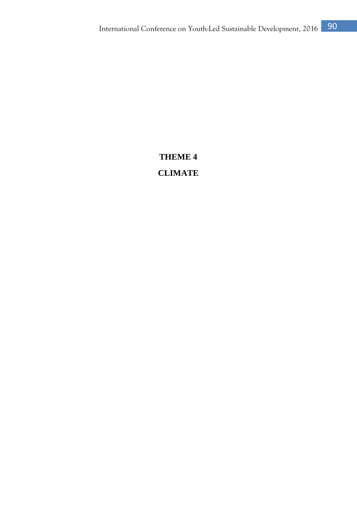# **THEME 4 CLIMATE**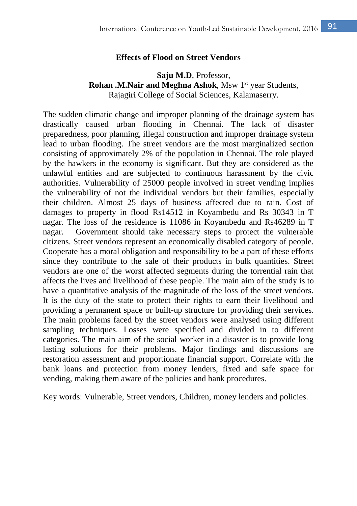#### **Effects of Flood on Street Vendors**

#### **Saju M.D**, Professor, **Rohan .M.Nair and Meghna Ashok**, Msw 1<sup>st</sup> year Students, Rajagiri College of Social Sciences, Kalamaserry.

The sudden climatic change and improper planning of the drainage system has drastically caused urban flooding in Chennai. The lack of disaster preparedness, poor planning, illegal construction and improper drainage system lead to urban flooding. The street vendors are the most marginalized section consisting of approximately 2% of the population in Chennai. The role played by the hawkers in the economy is significant. But they are considered as the unlawful entities and are subjected to continuous harassment by the civic authorities. Vulnerability of 25000 people involved in street vending implies the vulnerability of not the individual vendors but their families, especially their children. Almost 25 days of business affected due to rain. Cost of damages to property in flood Rs14512 in Koyambedu and Rs 30343 in T nagar. The loss of the residence is 11086 in Koyambedu and Rs46289 in T nagar. Government should take necessary steps to protect the vulnerable citizens. Street vendors represent an economically disabled category of people. Cooperate has a moral obligation and responsibility to be a part of these efforts since they contribute to the sale of their products in bulk quantities. Street vendors are one of the worst affected segments during the torrential rain that affects the lives and livelihood of these people. The main aim of the study is to have a quantitative analysis of the magnitude of the loss of the street vendors. It is the duty of the state to protect their rights to earn their livelihood and providing a permanent space or built-up structure for providing their services. The main problems faced by the street vendors were analysed using different sampling techniques. Losses were specified and divided in to different categories. The main aim of the social worker in a disaster is to provide long lasting solutions for their problems. Major findings and discussions are restoration assessment and proportionate financial support. Correlate with the bank loans and protection from money lenders, fixed and safe space for vending, making them aware of the policies and bank procedures.

Key words: Vulnerable, Street vendors, Children, money lenders and policies.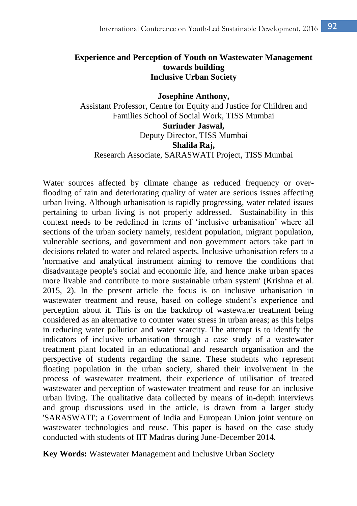## **Experience and Perception of Youth on Wastewater Management towards building Inclusive Urban Society**

**Josephine Anthony,**

Assistant Professor, Centre for Equity and Justice for Children and Families School of Social Work, TISS Mumbai

**Surinder Jaswal,** Deputy Director, TISS Mumbai **Shalila Raj,** Research Associate, SARASWATI Project, TISS Mumbai

Water sources affected by climate change as reduced frequency or overflooding of rain and deteriorating quality of water are serious issues affecting urban living. Although urbanisation is rapidly progressing, water related issues pertaining to urban living is not properly addressed. Sustainability in this context needs to be redefined in terms of 'inclusive urbanisation' where all sections of the urban society namely, resident population, migrant population, vulnerable sections, and government and non government actors take part in decisions related to water and related aspects. Inclusive urbanisation refers to a 'normative and analytical instrument aiming to remove the conditions that disadvantage people's social and economic life, and hence make urban spaces more livable and contribute to more sustainable urban system' (Krishna et al. 2015, 2). In the present article the focus is on inclusive urbanisation in wastewater treatment and reuse, based on college student's experience and perception about it. This is on the backdrop of wastewater treatment being considered as an alternative to counter water stress in urban areas; as this helps in reducing water pollution and water scarcity. The attempt is to identify the indicators of inclusive urbanisation through a case study of a wastewater treatment plant located in an educational and research organisation and the perspective of students regarding the same. These students who represent floating population in the urban society, shared their involvement in the process of wastewater treatment, their experience of utilisation of treated wastewater and perception of wastewater treatment and reuse for an inclusive urban living. The qualitative data collected by means of in-depth interviews and group discussions used in the article, is drawn from a larger study 'SARASWATI'; a Government of India and European Union joint venture on wastewater technologies and reuse. This paper is based on the case study conducted with students of IIT Madras during June-December 2014.

**Key Words:** Wastewater Management and Inclusive Urban Society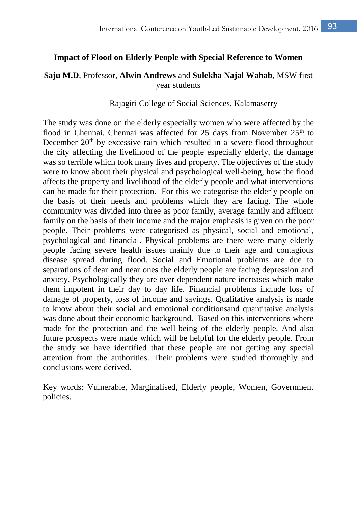#### **Impact of Flood on Elderly People with Special Reference to Women**

#### **Saju M.D**, Professor, **Alwin Andrews** and **Sulekha Najal Wahab**, MSW first year students

#### Rajagiri College of Social Sciences, Kalamaserry

The study was done on the elderly especially women who were affected by the flood in Chennai. Chennai was affected for 25 days from November  $25<sup>th</sup>$  to December  $20<sup>th</sup>$  by excessive rain which resulted in a severe flood throughout the city affecting the livelihood of the people especially elderly, the damage was so terrible which took many lives and property. The objectives of the study were to know about their physical and psychological well-being, how the flood affects the property and livelihood of the elderly people and what interventions can be made for their protection. For this we categorise the elderly people on the basis of their needs and problems which they are facing. The whole community was divided into three as poor family, average family and affluent family on the basis of their income and the major emphasis is given on the poor people. Their problems were categorised as physical, social and emotional, psychological and financial. Physical problems are there were many elderly people facing severe health issues mainly due to their age and contagious disease spread during flood. Social and Emotional problems are due to separations of dear and near ones the elderly people are facing depression and anxiety. Psychologically they are over dependent nature increases which make them impotent in their day to day life. Financial problems include loss of damage of property, loss of income and savings. Qualitative analysis is made to know about their social and emotional conditionsand quantitative analysis was done about their economic background. Based on this interventions where made for the protection and the well-being of the elderly people. And also future prospects were made which will be helpful for the elderly people. From the study we have identified that these people are not getting any special attention from the authorities. Their problems were studied thoroughly and conclusions were derived.

Key words: Vulnerable, Marginalised, Elderly people, Women, Government policies.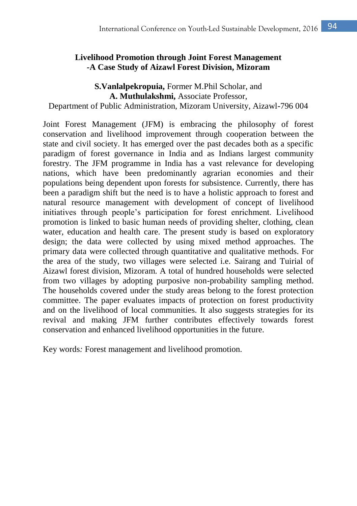# **Livelihood Promotion through Joint Forest Management -A Case Study of Aizawl Forest Division, Mizoram**

# **S.Vanlalpekropuia,** Former M.Phil Scholar, and **A. Muthulakshmi,** Associate Professor,

Department of Public Administration, Mizoram University, Aizawl-796 004

Joint Forest Management (JFM) is embracing the philosophy of forest conservation and livelihood improvement through cooperation between the state and civil society. It has emerged over the past decades both as a specific paradigm of forest governance in India and as Indians largest community forestry. The JFM programme in India has a vast relevance for developing nations, which have been predominantly agrarian economies and their populations being dependent upon forests for subsistence. Currently, there has been a paradigm shift but the need is to have a holistic approach to forest and natural resource management with development of concept of livelihood initiatives through people's participation for forest enrichment. Livelihood promotion is linked to basic human needs of providing shelter, clothing, clean water, education and health care. The present study is based on exploratory design; the data were collected by using mixed method approaches. The primary data were collected through quantitative and qualitative methods. For the area of the study, two villages were selected i.e. Sairang and Tuirial of Aizawl forest division, Mizoram. A total of hundred households were selected from two villages by adopting purposive non-probability sampling method. The households covered under the study areas belong to the forest protection committee. The paper evaluates impacts of protection on forest productivity and on the livelihood of local communities. It also suggests strategies for its revival and making JFM further contributes effectively towards forest conservation and enhanced livelihood opportunities in the future.

Key words*:* Forest management and livelihood promotion.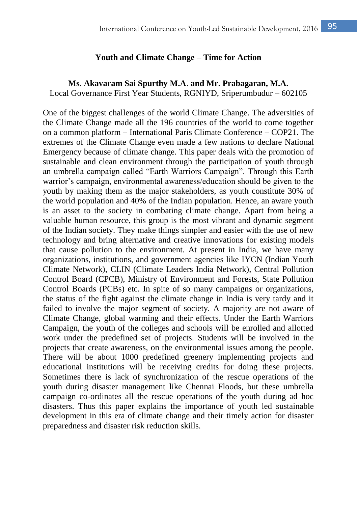#### **Youth and Climate Change – Time for Action**

#### **Ms. Akavaram Sai Spurthy M.A**. **and Mr. Prabagaran, M.A.**

Local Governance First Year Students, RGNIYD, Sriperumbudur – 602105

One of the biggest challenges of the world Climate Change. The adversities of the Climate Change made all the 196 countries of the world to come together on a common platform – International Paris Climate Conference – COP21. The extremes of the Climate Change even made a few nations to declare National Emergency because of climate change. This paper deals with the promotion of sustainable and clean environment through the participation of youth through an umbrella campaign called "Earth Warriors Campaign". Through this Earth warrior's campaign, environmental awareness/education should be given to the youth by making them as the major stakeholders, as youth constitute 30% of the world population and 40% of the Indian population. Hence, an aware youth is an asset to the society in combating climate change. Apart from being a valuable human resource, this group is the most vibrant and dynamic segment of the Indian society. They make things simpler and easier with the use of new technology and bring alternative and creative innovations for existing models that cause pollution to the environment. At present in India, we have many organizations, institutions, and government agencies like IYCN (Indian Youth Climate Network), CLIN (Climate Leaders India Network), Central Pollution Control Board (CPCB), Ministry of Environment and Forests, State Pollution Control Boards (PCBs) etc. In spite of so many campaigns or organizations, the status of the fight against the climate change in India is very tardy and it failed to involve the major segment of society. A majority are not aware of Climate Change, global warming and their effects. Under the Earth Warriors Campaign, the youth of the colleges and schools will be enrolled and allotted work under the predefined set of projects. Students will be involved in the projects that create awareness, on the environmental issues among the people. There will be about 1000 predefined greenery implementing projects and educational institutions will be receiving credits for doing these projects. Sometimes there is lack of synchronization of the rescue operations of the youth during disaster management like Chennai Floods, but these umbrella campaign co-ordinates all the rescue operations of the youth during ad hoc disasters. Thus this paper explains the importance of youth led sustainable development in this era of climate change and their timely action for disaster preparedness and disaster risk reduction skills.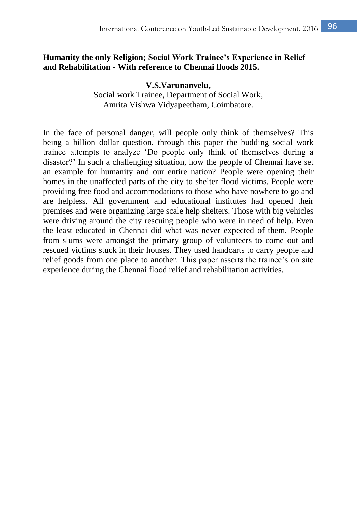## **Humanity the only Religion; Social Work Trainee's Experience in Relief and Rehabilitation - With reference to Chennai floods 2015.**

**V.S.Varunanvelu,** Social work Trainee, Department of Social Work, Amrita Vishwa Vidyapeetham, Coimbatore.

In the face of personal danger, will people only think of themselves? This being a billion dollar question, through this paper the budding social work trainee attempts to analyze 'Do people only think of themselves during a disaster?' In such a challenging situation, how the people of Chennai have set an example for humanity and our entire nation? People were opening their homes in the unaffected parts of the city to shelter flood victims. People were providing free food and accommodations to those who have nowhere to go and are helpless. All government and educational institutes had opened their premises and were organizing large scale help shelters. Those with big vehicles were driving around the city rescuing people who were in need of help. Even the least educated in Chennai did what was never expected of them. People from slums were amongst the primary group of volunteers to come out and rescued victims stuck in their houses. They used handcarts to carry people and relief goods from one place to another. This paper asserts the trainee's on site experience during the Chennai flood relief and rehabilitation activities.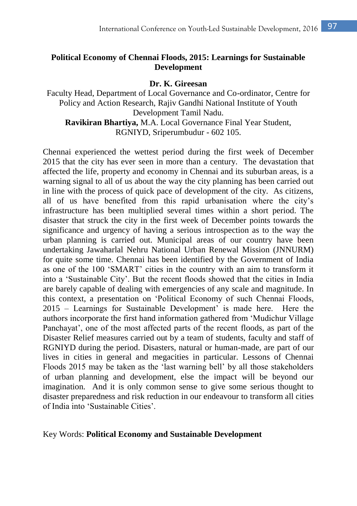# **Political Economy of Chennai Floods, 2015: Learnings for Sustainable Development**

#### **Dr. K. Gireesan**

Faculty Head, Department of Local Governance and Co-ordinator, Centre for Policy and Action Research, Rajiv Gandhi National Institute of Youth Development Tamil Nadu.

**Ravikiran Bhartiya,** M.A. Local Governance Final Year Student, RGNIYD, Sriperumbudur - 602 105.

Chennai experienced the wettest period during the first week of December 2015 that the city has ever seen in more than a century. The devastation that affected the life, property and economy in Chennai and its suburban areas, is a warning signal to all of us about the way the city planning has been carried out in line with the process of quick pace of development of the city. As citizens, all of us have benefited from this rapid urbanisation where the city's infrastructure has been multiplied several times within a short period. The disaster that struck the city in the first week of December points towards the significance and urgency of having a serious introspection as to the way the urban planning is carried out. Municipal areas of our country have been undertaking Jawaharlal Nehru National Urban Renewal Mission (JNNURM) for quite some time. Chennai has been identified by the Government of India as one of the 100 'SMART' cities in the country with an aim to transform it into a 'Sustainable City'. But the recent floods showed that the cities in India are barely capable of dealing with emergencies of any scale and magnitude. In this context, a presentation on 'Political Economy of such Chennai Floods, 2015 – Learnings for Sustainable Development' is made here. Here the authors incorporate the first hand information gathered from 'Mudichur Village Panchayat', one of the most affected parts of the recent floods, as part of the Disaster Relief measures carried out by a team of students, faculty and staff of RGNIYD during the period. Disasters, natural or human-made, are part of our lives in cities in general and megacities in particular. Lessons of Chennai Floods 2015 may be taken as the 'last warning bell' by all those stakeholders of urban planning and development, else the impact will be beyond our imagination. And it is only common sense to give some serious thought to disaster preparedness and risk reduction in our endeavour to transform all cities of India into 'Sustainable Cities'.

#### Key Words: **Political Economy and Sustainable Development**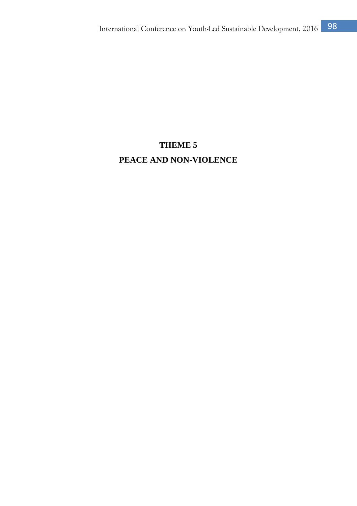# **THEME 5 PEACE AND NON-VIOLENCE**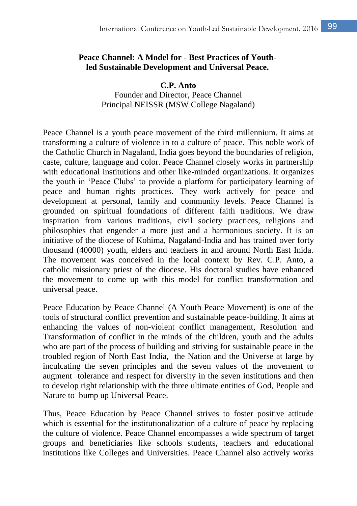## **Peace Channel: A Model for - Best Practices of Youthled Sustainable Development and Universal Peace.**

**C.P. Anto** Founder and Director, Peace Channel Principal NEISSR (MSW College Nagaland)

Peace Channel is a youth peace movement of the third millennium. It aims at transforming a culture of violence in to a culture of peace. This noble work of the Catholic Church in Nagaland, India goes beyond the boundaries of religion, caste, culture, language and color. Peace Channel closely works in partnership with educational institutions and other like-minded organizations. It organizes the youth in 'Peace Clubs' to provide a platform for participatory learning of peace and human rights practices. They work actively for peace and development at personal, family and community levels. Peace Channel is grounded on spiritual foundations of different faith traditions. We draw inspiration from various traditions, civil society practices, religions and philosophies that engender a more just and a harmonious society. It is an initiative of the diocese of Kohima, Nagaland-India and has trained over forty thousand (40000) youth, elders and teachers in and around North East Inida. The movement was conceived in the local context by Rev. C.P. Anto, a catholic missionary priest of the diocese. His doctoral studies have enhanced the movement to come up with this model for conflict transformation and universal peace.

Peace Education by Peace Channel (A Youth Peace Movement) is one of the tools of structural conflict prevention and sustainable peace-building. It aims at enhancing the values of non-violent conflict management, Resolution and Transformation of conflict in the minds of the children, youth and the adults who are part of the process of building and striving for sustainable peace in the troubled region of North East India, the Nation and the Universe at large by inculcating the seven principles and the seven values of the movement to augment tolerance and respect for diversity in the seven institutions and then to develop right relationship with the three ultimate entities of God, People and Nature to bump up Universal Peace.

Thus, Peace Education by Peace Channel strives to foster positive attitude which is essential for the institutionalization of a culture of peace by replacing the culture of violence. Peace Channel encompasses a wide spectrum of target groups and beneficiaries like schools students, teachers and educational institutions like Colleges and Universities. Peace Channel also actively works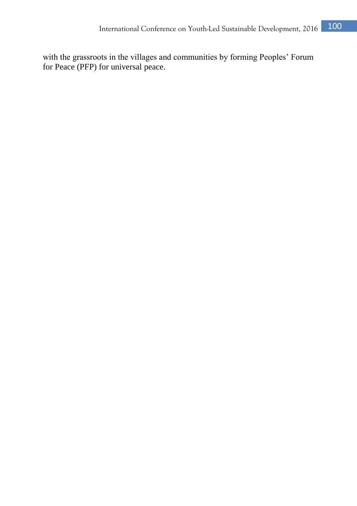with the grassroots in the villages and communities by forming Peoples' Forum for Peace (PFP) for universal peace.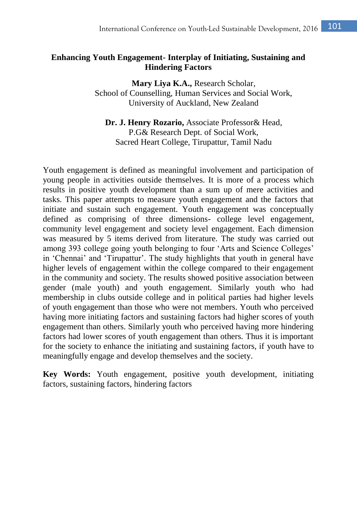# **Enhancing Youth Engagement- Interplay of Initiating, Sustaining and Hindering Factors**

**Mary Liya K.A.,** Research Scholar, School of Counselling, Human Services and Social Work, University of Auckland, New Zealand

**Dr. J. Henry Rozario,** Associate Professor& Head, P.G& Research Dept. of Social Work, Sacred Heart College, Tirupattur, Tamil Nadu

Youth engagement is defined as meaningful involvement and participation of young people in activities outside themselves. It is more of a process which results in positive youth development than a sum up of mere activities and tasks. This paper attempts to measure youth engagement and the factors that initiate and sustain such engagement. Youth engagement was conceptually defined as comprising of three dimensions- college level engagement, community level engagement and society level engagement. Each dimension was measured by 5 items derived from literature. The study was carried out among 393 college going youth belonging to four 'Arts and Science Colleges' in 'Chennai' and 'Tirupattur'. The study highlights that youth in general have higher levels of engagement within the college compared to their engagement in the community and society. The results showed positive association between gender (male youth) and youth engagement. Similarly youth who had membership in clubs outside college and in political parties had higher levels of youth engagement than those who were not members. Youth who perceived having more initiating factors and sustaining factors had higher scores of youth engagement than others. Similarly youth who perceived having more hindering factors had lower scores of youth engagement than others. Thus it is important for the society to enhance the initiating and sustaining factors, if youth have to meaningfully engage and develop themselves and the society.

**Key Words:** Youth engagement, positive youth development, initiating factors, sustaining factors, hindering factors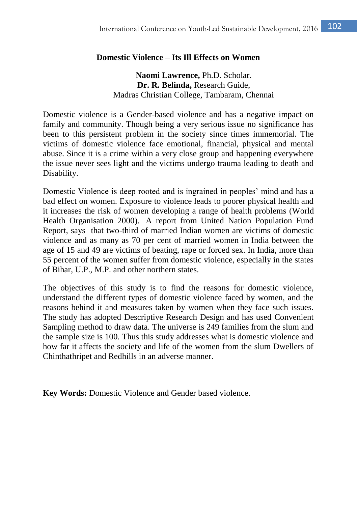## **Domestic Violence – Its Ill Effects on Women**

**Naomi Lawrence,** Ph.D. Scholar. **Dr. R. Belinda,** Research Guide, Madras Christian College, Tambaram, Chennai

Domestic violence is a Gender-based violence and has a negative impact on family and community. Though being a very serious issue no significance has been to this persistent problem in the society since times immemorial. The victims of domestic violence face emotional, financial, physical and mental abuse. Since it is a crime within a very close group and happening everywhere the issue never sees light and the victims undergo trauma leading to death and Disability.

Domestic Violence is deep rooted and is ingrained in peoples' mind and has a bad effect on women. Exposure to violence leads to poorer physical health and it increases the risk of women developing a range of health problems (World Health Organisation 2000). A report from United Nation Population Fund Report, says that two-third of married Indian women are victims of domestic violence and as many as 70 per cent of married women in India between the age of 15 and 49 are victims of beating, rape or forced sex. In India, more than 55 percent of the women suffer from domestic violence, especially in the states of Bihar, U.P., M.P. and other northern states.

The objectives of this study is to find the reasons for domestic violence, understand the different types of domestic violence faced by women, and the reasons behind it and measures taken by women when they face such issues. The study has adopted Descriptive Research Design and has used Convenient Sampling method to draw data. The universe is 249 families from the slum and the sample size is 100. Thus this study addresses what is domestic violence and how far it affects the society and life of the women from the slum Dwellers of Chinthathripet and Redhills in an adverse manner.

**Key Words:** Domestic Violence and Gender based violence.